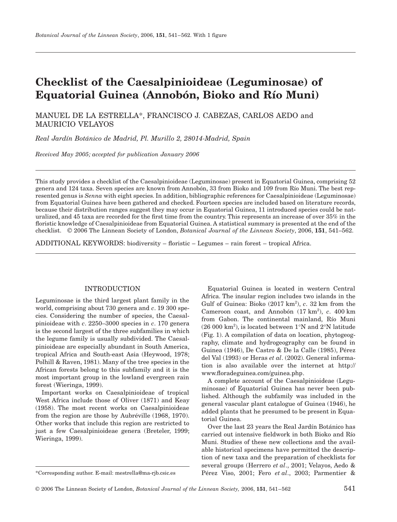# **Checklist of the Caesalpinioideae (Leguminosae) of Equatorial Guinea (Annobón, Bioko and Río Muni)**

MANUEL DE LA ESTRELLA\*, FRANCISCO J. CABEZAS, CARLOS AEDO and MAURICIO VELAYOS

*Real Jardín Botánico de Madrid, Pl. Murillo 2, 28014-Madrid, Spain*

*Received May 2005; accepted for publication January 2006*

This study provides a checklist of the Caesalpinioideae (Leguminosae) present in Equatorial Guinea, comprising 52 genera and 124 taxa. Seven species are known from Annobón, 33 from Bioko and 109 from Río Muni. The best represented genus is *Senna* with eight species. In addition, bibliographic references for Caesalpinioideae (Leguminosae) from Equatorial Guinea have been gathered and checked. Fourteen species are included based on literature records, because their distribution ranges suggest they may occur in Equatorial Guinea, 11 introduced species could be naturalized, and 45 taxa are recorded for the first time from the country. This represents an increase of over 35% in the floristic knowledge of Caesalpinioideae from Equatorial Guinea. A statistical summary is presented at the end of the checklist. © 2006 The Linnean Society of London, *Botanical Journal of the Linnean Society*, 2006, **151**, 541–562.

ADDITIONAL KEYWORDS: biodiversity – floristic – Legumes – rain forest – tropical Africa.

## INTRODUCTION

Leguminosae is the third largest plant family in the world, comprising about 730 genera and *c*. 19 300 species. Considering the number of species, the Caesalpinioideae with *c*. 2250–3000 species in *c*. 170 genera is the second largest of the three subfamilies in which the legume family is usually subdivided. The Caesalpinioideae are especially abundant in South America, tropical Africa and South-east Asia (Heywood, 1978; Polhill & Raven, 1981). Many of the tree species in the African forests belong to this subfamily and it is the most important group in the lowland evergreen rain forest (Wieringa, 1999).

Important works on Caesalpinioideae of tropical West Africa include those of Oliver (1871) and Keay (1958). The most recent works on Caesalpinioideae from the region are those by Aubréville (1968, 1970). Other works that include this region are restricted to just a few Caesalpinioideae genera (Breteler, 1999; Wieringa, 1999).

Equatorial Guinea is located in western Central Africa. The insular region includes two islands in the Gulf of Guinea: Bioko (2017 km<sup>2</sup>), *c*. 32 km from the Cameroon coast, and Annobón (17 km<sup>2</sup>), c. 400 km from Gabon. The continental mainland, Río Muni  $(26 000 \text{ km}^2)$ , is located between  $1^{\circ}\text{N}$  and  $2^{\circ}\text{N}$  latitude (Fig. 1). A compilation of data on location, phytogeography, climate and hydrogeography can be found in Guinea (1946), De Castro & De la Calle (1985), Pérez del Val (1993) or Heras *et al*. (2002). General information is also available over the internet at <http://> www.floradeguinea.com/guinea.php.

A complete account of the Caesalpinioideae (Leguminosae) of Equatorial Guinea has never been published. Although the subfamily was included in the general vascular plant catalogue of Guinea (1946), he added plants that he presumed to be present in Equatorial Guinea.

Over the last 23 years the Real Jardín Botánico has carried out intensive fieldwork in both Bioko and Río Muni. Studies of these new collections and the available historical specimens have permitted the description of new taxa and the preparation of checklists for several groups (Herrero *et al*., 2001; Velayos, Aedo & Pérez Viso, 2001; Fero *et al*., 2003; Parmentier &

<sup>\*</sup>Corresponding author. E-mail: mestrella@ma-rjb.csic.es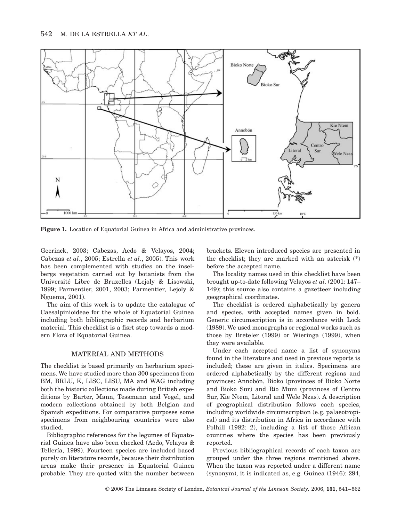

**Figure 1.** Location of Equatorial Guinea in Africa and administrative provinces.

Geerinck, 2003; Cabezas, Aedo & Velayos, 2004; Cabezas *et al*., 2005; Estrella *et al*., 2005). This work has been complemented with studies on the inselbergs vegetation carried out by botanists from the Université Libre de Bruxelles (Lejoly & Lisowski, 1999; Parmentier, 2001, 2003; Parmentier, Lejoly & Nguema, 2001).

The aim of this work is to update the catalogue of Caesalpinioideae for the whole of Equatorial Guinea including both bibliographic records and herbarium material. This checklist is a fisrt step towards a modern Flora of Equatorial Guinea.

#### MATERIAL AND METHODS

The checklist is based primarily on herbarium specimens. We have studied more than 300 specimens from BM, BRLU, K, LISC, LISU, MA and WAG including both the historic collections made during British expeditions by Barter, Mann, Tessmann and Vogel, and modern collections obtained by both Belgian and Spanish expeditions. For comparative purposes some specimens from neighbouring countries were also studied.

Bibliographic references for the legumes of Equatorial Guinea have also been checked (Aedo, Velayos & Tellería, 1999). Fourteen species are included based purely on literature records, because their distribution areas make their presence in Equatorial Guinea probable. They are quoted with the number between

brackets. Eleven introduced species are presented in the checklist; they are marked with an asterisk (\*) before the accepted name.

The locality names used in this checklist have been brought up-to-date following Velayos *et al*. (2001: 147– 149); this source also contains a gazetteer including geographical coordinates.

The checklist is ordered alphabetically by genera and species, with accepted names given in bold. Generic circumscription is in accordance with Lock (1989). We used monographs or regional works such as those by Breteler (1999) or Wieringa (1999), when they were available.

Under each accepted name a list of synonyms found in the literature and used in previous reports is included; these are given in italics. Specimens are ordered alphabetically by the different regions and provinces: Annobón, Bioko (provinces of Bioko Norte and Bioko Sur) and Río Muni (provinces of Centro Sur, Kie Ntem, Litoral and Wele Nzas). A description of geographical distribution follows each species, including worldwide circumscription (e.g. palaeotropical) and its distribution in Africa in accordance with Polhill (1982: 2), including a list of those African countries where the species has been previously reported.

Previous bibliographical records of each taxon are grouped under the three regions mentioned above. When the taxon was reported under a different name (synonym), it is indicated as, e.g. Guinea (1946): 294,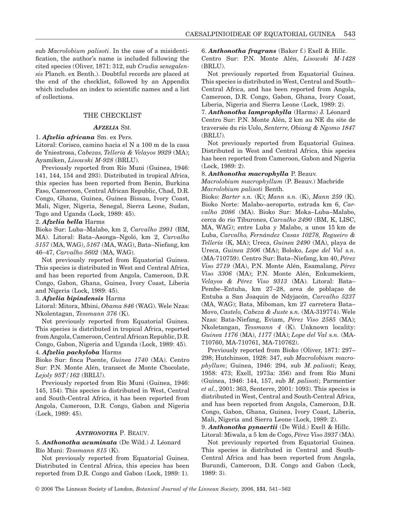sub *Macrolobium palisoti*. In the case of a misidentification, the author's name is included following the cited species (Oliver, 1871: 312, sub *Crudia senegalensis* Planch. ex Benth.). Doubtful records are placed at the end of the checklist, followed by an Appendix which includes an index to scientific names and a list of collections.

## THE CHECKLIST

## *AFZELIA* SM.

#### 1. *Afzelia africana* Sm. ex Pers.

Litoral: Corisco, camino hacia el N a 100 m de la casa de Yniestrosa, *Cabezas, Tellería & Velayos 9929* (MA); Ayamiken, *Lisowski M-928* (BRLU).

Previously reported from Río Muni (Guinea, 1946: 141, 144, 154 and 293). Distributed in tropical Africa, this species has been reported from Benin, Burkina Faso, Cameroon, Central African Republic, Chad, D.R. Congo, Ghana, Guinea, Guinea Bissau, Ivory Coast, Mali, Niger, Nigeria, Senegal, Sierra Leone, Sudan, Togo and Uganda (Lock, 1989: 45).

#### 2. *Afzelia bella* Harms

Bioko Sur: Luba–Malabo, km 2, *Carvalho 2991* (BM, MA). Litoral: Bata–Asonga–Ngoló, km 2, *Carvalho 5157* (MA, WAG), *5167* (MA, WAG), Bata–Niefang, km 46–47, *Carvalho 5602* (MA, WAG).

Not previously reported from Equatorial Guinea. This species is distributed in West and Central Africa, and has been reported from Angola, Cameroon, D.R. Congo, Gabon, Ghana, Guinea, Ivory Coast, Liberia and Nigeria (Lock, 1989: 45).

#### 3. *Afzelia bipindensis* Harms

Litoral: Mitora, Mbini, *Obama 846* (WAG). Wele Nzas: Nkolentagan, *Tessmann 376* (K).

Not previously reported from Equatorial Guinea. This species is distributed in tropical Africa, reported from Angola, Cameroon, Central African Republic, D.R. Congo, Gabon, Nigeria and Uganda (Lock, 1989: 45).

## 4. *Afzelia pachyloba* Harms

Bioko Sur: finca Puente, *Guinea 1740* (MA). Centro Sur: P.N. Monte Alén, transect de Monte Chocolate, *Lejoly 95T/162* (BRLU).

Previously reported from Río Muni (Guinea, 1946: 145, 154). This species is distributed in West, Central and South-Central Africa, it has been reported from Angola, Cameroon, D.R. Congo, Gabon and Nigeria (Lock, 1989: 45).

#### *ANTHONOTHA* P. BEAUV.

## 5. *Anthonotha acuminata* (De Wild.) J. Léonard Río Muni: *Tessmann 815* (K).

Not previously reported from Equatorial Guinea. Distributed in Central Africa, this species has been reported from D.R. Congo and Gabon (Lock, 1989: 1). 6. *Anthonotha fragrans* (Baker f.) Exell & Hillc.

Centro Sur: P.N. Monte Alén, *Lisowski M-1428* (BRLU).

Not previously reported from Equatorial Guinea. This species is distributed in West, Central and South– Central Africa, and has been reported from Angola, Cameroon, D.R. Congo, Gabon, Ghana, Ivory Coast, Liberia, Nigeria and Sierra Leone (Lock, 1989: 2).

7. *Anthonotha lamprophylla* (Harms) J. Léonard Centro Sur: P.N. Monte Alén, 2 km au NE du site de traversée du río Uolo, *Senterre, Obiang & Ngomo 1847* (BRLU).

Not previously reported from Equatorial Guinea. Distributed in West and Central Africa, this species has been reported from Cameroon, Gabon and Nigeria (Lock, 1989: 2).

#### 8. *Anthonotha macrophylla* P. Beauv.

*Macrolobium macrophyllum* (P. Beauv.) Macbride *Macrolobium palisoti* Benth.

Bioko: *Barter s.n.* (K); *Mann* s*.n.* (K), *Mann 259* (K). Bioko Norte: Malabo–aeroporto, estrada km 6, *Carvalho 2086* (MA). Bioko Sur: Moka–Luba–Malabo, cerca do rio Tiburones, *Carvalho 2490* (BM, K, LISC, MA, WAG); entre Luba y Malabo, a unos 15 km de Luba, *Carvalho, Fernández Casas 10278, Regueiro & Tellería* (K, MA); Ureca, *Guinea 2490* (MA), playa de Ureca, *Guinea 2506* (MA); Boloko, *Lope del Val* s*.n.* (MA-710759). Centro Sur: Bata–Niefang, km 40, *Pérez Viso 2719* (MA), P.N. Monte Alén, Esamalang, *Pérez Viso 3306* (MA); P.N. Monte Alén, Enkumekiem, *Velayos & Pérez Viso 9313* (MA). Litoral: Bata– Pembe–Entuba, km 27–28, area de poblaçao de Entuba a San Joaquin de Ndyjacón, *Carvalho 5237* (MA, WAG); Bata, Miboman, km 27 carretera Bata– Movo, *Castelo, Cabeza & Juste* s*.n.* (MA-319774). Wele Nzas: Bata-Niefang, Eviam, *Pérez Viso 2585* (MA); Nkoletangan, *Tessmann 4* (K). Unknown locality: *Guinea 1176* (MA), *1177* (MA); *Lope del Val* s*.n.* (MA-710760, MA-710761, MA-710762).

Previously reported from Bioko (Oliver, 1871: 297– 298; Hutchinson, 1928: 347, sub *Macrolobium macrophyllum*; Guinea, 1946: 294, sub *M. palisoti*; Keay, 1958: 473; Exell, 1973a: 356) and from Río Muni (Guinea, 1946: 144, 157, sub *M. palisoti*; Parmentier *et al.*, 2001: 363, Senterre, 2001: 1093). This species is distributed in West, Central and South-Central Africa, and has been reported from Angola, Cameroon, D.R. Congo, Gabon, Ghana, Guinea, Ivory Coast, Liberia, Mali, Nigeria and Sierra Leone (Lock, 1989: 2).

9. *Anthonotha pynaertii* (De Wild.) Exell & Hillc.

Litoral: Miwala, a 5 km de Cogo, *Pérez Viso 3937* (MA). Not previously reported from Equatorial Guinea. This species is distributed in Central and South-Central Africa and has been reported from Angola, Burundi, Cameroon, D.R. Congo and Gabon (Lock, 1989: 3).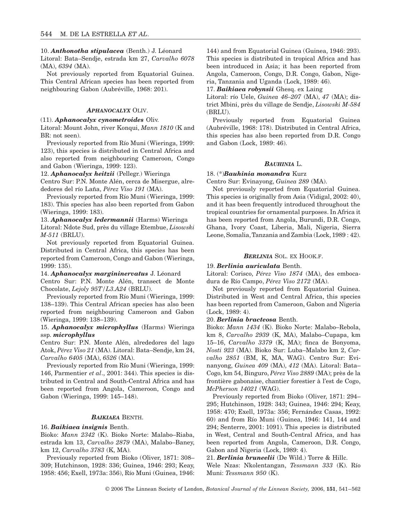10. *Anthonotha stipulacea* (Benth.) J. Léonard

Litoral: Bata–Sendje, estrada km 27, *Carvalho 6078* (MA), *6394* (MA).

Not previously reported from Equatorial Guinea. This Central African species has been reported from neighbouring Gabon (Aubréville, 1968: 201).

#### *APHANOCALYX* OLIV.

#### (11). *Aphanocalyx cynometroides* Oliv.

Litoral: Mount John, river Konqui, *Mann 1810* (K and BR: not seen).

Previously reported from Río Muni (Wieringa, 1999: 123), this species is distributed in Central Africa and also reported from neighbouring Cameroon, Congo and Gabon (Wieringa, 1999: 123).

#### 12. *Aphanocalyx heitzii* (Pellegr.) Wieringa

Centro Sur: P.N. Monte Alén, cerca de Misergue, alrededores del río Laña, *Pérez Viso 191* (MA).

Previously reported from Río Muni (Wieringa, 1999: 183). This species has also been reported from Gabon (Wieringa, 1999: 183).

## 13. *Aphanocalyx ledermannii* (Harms) Wieringa

Litoral: Ndote Sud, près du village Etembue, *Lisowski M-511* (BRLU).

Not previously reported from Equatorial Guinea. Distributed in Central Africa, this species has been reported from Cameroon, Congo and Gabon (Wieringa, 1999: 135).

### 14. *Aphanocalyx margininervatus* J. Léonard

Centro Sur: P.N. Monte Alén, transect de Monte Chocolate, *Lejoly 95T/L3.A24* (BRLU).

Previously reported from Río Muni (Wieringa, 1999: 138–139). This Central African species has also been reported from neighbouring Cameroon and Gabon (Wieringa, 1999: 138–139).

## 15. *Aphanocalyx microphyllus* (Harms) Wieringa ssp. *microphyllus*

Centro Sur: P.N. Monte Alén, alrededores del lago Atok, *Pérez Viso 21* (MA). Litoral: Bata–Sendje, km 24, *Carvalho 6405* (MA), *6526* (MA).

Previously reported from Río Muni (Wieringa, 1999: 146, Parmentier *et al*., 2001: 344). This species is distributed in Central and South-Central Africa and has been reported from Angola, Cameroon, Congo and Gabon (Wieringa, 1999: 145–148).

## *BAIKIAEA* BENTH.

### 16. *Baikiaea insignis* Benth.

Bioko: *Mann 2342* (K). Bioko Norte: Malabo–Riaba, estrada km 13, *Carvalho 2879* (MA), Malabo–Baney, km 12, *Carvalho 3783* (K, MA).

Previously reported from Bioko (Oliver, 1871: 308– 309; Hutchinson, 1928: 336; Guinea, 1946: 293; Keay, 1958: 456; Exell, 1973a: 356), Río Muni (Guinea, 1946: 144) and from Equatorial Guinea (Guinea, 1946: 293). This species is distributed in tropical Africa and has been introduced in Asia; it has been reported from Angola, Cameroon, Congo, D.R. Congo, Gabon, Nigeria, Tanzania and Uganda (Lock, 1989: 46).

17. *Baikiaea robynsii* Ghesq. ex Laing

Litoral: río Uele, *Guinea 46–207* (MA), *47* (MA); district Mbini, près du village de Sendje, *Lisowski M-584* (BRLU).

Previously reported from Equatorial Guinea (Aubréville, 1968: 178). Distributed in Central Africa, this species has also been reported from D.R. Congo and Gabon (Lock, 1989: 46).

## *BAUHINIA* L.

## 18. (\*)*Bauhinia monandra* Kurz

Centro Sur: Evinayong, *Guinea 289* (MA).

Not previously reported from Equatorial Guinea. This species is originally from Asia (Vidigal, 2002: 40), and it has been frequently introduced throughout the tropical countries for ornamental purposes. In Africa it has been reported from Angola, Burundi, D.R. Congo, Ghana, Ivory Coast, Liberia, Mali, Nigeria, Sierra Leone, Somalia, Tanzania and Zambia (Lock, 1989 : 42).

## *BERLINIA* SOL. EX HOOK.F.

## 19. *Berlinia auriculata* Benth.

Litoral: Corisco, *Pérez Viso 1874* (MA), des embocadura de Río Campo, *Pérez Viso 2172* (MA).

Not previously reported from Equatorial Guinea. Distributed in West and Central Africa, this species has been reported from Cameroon, Gabon and Nigeria (Lock, 1989: 4).

#### 20. *Berlinia bracteosa* Benth.

Bioko: *Mann 1434* (K). Bioko Norte: Malabo–Rebola, km 8, *Carvalho 2939* (K, MA), Malabo–Cupapa, km 15–16, *Carvalho 3379* (K, MA); finca de Bonyoma, *Nosti 923* (MA). Bioko Sur: Luba–Malabo km 2, *Carvalho 2851* (BM, K, MA, WAG). Centro Sur: Evinanyong, *Guinea 409* (MA), *412* (MA). Litoral: Bata– Cogo, km 54, Binguro, *Pérez Viso 2889* (MA); près de la frontière gabonaise, chantier forestier à l'est de Cogo, *McPherson 14021* (WAG).

Previously reported from Bioko (Oliver, 1871: 294– 295; Hutchinson, 1928: 343; Guinea, 1946: 294; Keay, 1958: 470; Exell, 1973a: 356; Fernández Casas, 1992: 60) and from Río Muni (Guinea, 1946: 141, 144 and 294; Senterre, 2001: 1091). This species is distributed in West, Central and South-Central Africa, and has been reported from Angola, Cameroon, D.R. Congo, Gabon and Nigeria (Lock, 1989: 4).

#### 21. *Berlinia bruneelii* (De Wild.) Torre & Hillc.

Wele Nzas: Nkolentangan, *Tessmann 333* (K). Río Muni: *Tessmann 950* (K).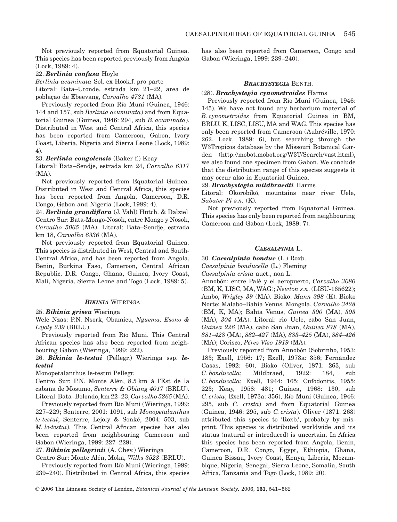Not previously reported from Equatorial Guinea. This species has been reported previously from Angola (Lock, 1989: 4).

### 22. *Berlinia confusa* Hoyle

*Berlinia acuminata* Sol. ex Hook.f. pro parte

Litoral: Bata–Utonde, estrada km 21–22, area de poblaçao de Ebeevang, *Carvalho 4731* (MA).

Previously reported from Río Muni (Guinea, 1946: 144 and 157, sub *Berlinia acuminata*) and from Equatorial Guinea (Guinea, 1946: 294, sub *B. acuminata*). Distributed in West and Central Africa, this species has been reported from Cameroon, Gabon, Ivory Coast, Liberia, Nigeria and Sierra Leone (Lock, 1989: 4).

#### 23. *Berlinia congolensis* (Baker f.) Keay

Litoral: Bata–Sendje, estrada km 24, *Carvalho 6317* (MA).

Not previously reported from Equatorial Guinea. Distributed in West and Central Africa, this species has been reported from Angola, Cameroon, D.R. Congo, Gabon and Nigeria (Lock, 1989: 4).

24. *Berlinia grandiflora* (J. Vahl) Hutch. & Dalziel Centro Sur: Bata-Mongo-Nosok, entre Mongo y Nosok, *Carvalho 5065* (MA). Litoral: Bata–Sendje, estrada km 18, *Carvalho 6336* (MA).

Not previously reported from Equatorial Guinea. This species is distributed in West, Central and South-Central Africa, and has been reported from Angola, Benin, Burkina Faso, Cameroon, Central African Republic, D.R. Congo, Ghana, Guinea, Ivory Coast, Mali, Nigeria, Sierra Leone and Togo (Lock, 1989: 5).

## *BIKINIA* WIERINGA

#### 25. *Bikinia grisea* Wieringa

Wele Nzas: P.N. Nsork, Obamicu, *Nguema, Esono & Lejoly 239* (BRLU).

Previously reported from Río Muni. This Central African species has also been reported from neighbouring Gabon (Wieringa, 1999: 222).

26. *Bikinia le-testui* (Pellegr.) Wieringa ssp. *letestui*

Monopetalanthus le-testui Pellegr.

Centro Sur: P.N. Monte Alén, 8.5 km à l'Est de la cabaña de Mosumo, *Senterre & Obiang 4017* (BRLU). Litoral: Bata–Bolondo, km 22–23, *Carvalho 5265* (MA).

Previously reported from Río Muni (Wieringa, 1999: 227–229; Senterre, 2001: 1091, sub *Monopetalanthus le-testui*; Senterre, Lejoly & Sonké, 2004: 503, sub *M. le-testui*). This Central African species has also been reported from neighbouring Cameroon and Gabon (Wieringa, 1999: 227–229).

27. *Bikinia pellegrinii* (A. Chev.) Wieringa

Centro Sur: Monte Alén, Moka, *Wilks 3523* (BRLU).

Previously reported from Río Muni (Wieringa, 1999: 239–240). Distributed in Central Africa, this species has also been reported from Cameroon, Congo and Gabon (Wieringa, 1999: 239–240).

## *BRACHYSTEGIA* BENTH.

#### (28). *Brachystegia cynometroides* Harms

Previously reported from Río Muni (Guinea, 1946: 145). We have not found any herbarium material of *B. cynometroides* from Equatorial Guinea in BM, BRLU, K, LISC, LISU, MA and WAG. This species has only been reported from Cameroon (Aubréville, 1970: 262, Lock, 1989: 6), but searching through the W3Tropicos database by the Missouri Botanical Garden [\(http://mobot.mobot.org/W3T/Search/vast.htm](http://mobot.mobot.org/W3T/Search/vast.html)l), we also found one specimen from Gabon. We conclude that the distribution range of this species suggests it may occur also in Equatorial Guinea.

#### 29. *Brachystegia mildbraedii* Harms

Litoral: Okorobikó, mountains near river Uele, *Sabater Pí s.n.* (K).

Not previously reported from Equatorial Guinea. This species has only been reported from neighbouring Cameroon and Gabon (Lock, 1989: 7).

## *CAESALPINIA* L.

30. *Caesalpinia bonduc* (L.) Roxb.

*Caesalpinia bonducella* (L.) Fleming

*Caesalpinia crista* auct., non L.

Annobón: entre Palè y el aeropuerto, *Carvalho 3080* (BM, K, LISC, MA, WAG); *Newton s.n*. (LISU-165622); Ambo, *Wrigley 39* (MA). Bioko: *Mann 398* (K). Bioko Norte: Malabo–Bahía Venus, Mongola, *Carvalho 3428* (BM, K, MA); Bahía Venus, *Guinea 300* (MA), *303* (MA), *304* (MA). Litoral: rio Uele, cabo San Juan, *Guinea 226* (MA), cabo San Juan, *Guinea 878* (MA), *881–428* (MA), *882–427* (MA), *883–425* (MA), *884–426* (MA); Corisco, *Pérez Viso 1919* (MA).

Previously reported from Annobón (Sobrinho, 1953: 183; Exell, 1956: 17; Exell, 1973a: 356; Fernández Casas, 1992: 60), Bioko (Oliver, 1871: 263, sub *C. bonducella*; Mildbraed, 1922: 184, sub *C. bonducella*; Exell, 1944: 165; Cufodontis, 1955: 223; Keay, 1958: 481; Guinea, 1968: 130, sub *C. crista*; Exell, 1973a: 356), Río Muni (Guinea, 1946: 295, sub *C. crista*) and from Equatorial Guinea (Guinea, 1946: 295, sub *C. crista*). Oliver (1871: 263) attributed this species to 'Roxb.', probably by misprint. This species is distributed worldwide and its status (natural or introduced) is uncertain. In Africa this species has been reported from Angola, Benin, Cameroon, D.R. Congo, Egypt, Ethiopia, Ghana, Guinea Bissau, Ivory Coast, Kenya, Liberia, Mozambique, Nigeria, Senegal, Sierra Leone, Somalia, South Africa, Tanzania and Togo (Lock, 1989: 20).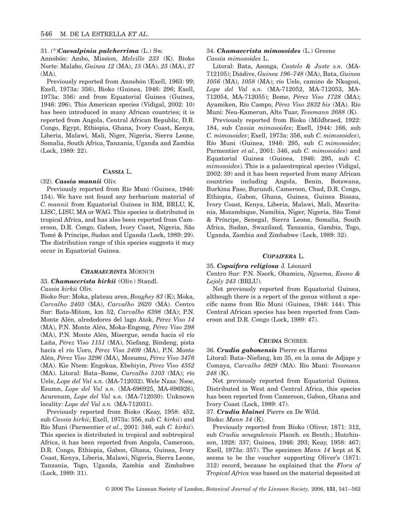### 31. (\*)*Caesalpinia pulcherrima* (L.) Sw.

Annobón: Ambo, Mission, *Melville 233* (K). Bioko Norte: Malabo, *Guinea 12* (MA), *15* (MA), *25* (MA), *27* (MA).

Previously reported from Annobón (Exell, 1963: 99; Exell, 1973a: 356), Bioko (Guinea, 1946: 296; Exell, 1973a: 356) and from Equatorial Guinea (Guinea, 1946: 296). This American species (Vidigal, 2002: 10) has been introduced in many African countries; it is reported from Angola, Central African Republic, D.R. Congo, Egypt, Ethiopia, Ghana, Ivory Coast, Kenya, Liberia, Malawi, Mali, Niger, Nigeria, Sierra Leone, Somalia, South Africa, Tanzania, Uganda and Zambia (Lock, 1989: 22).

#### *CASSIA* L.

#### (32). *Cassia mannii* Oliv.

Previously reported from Río Muni (Guinea, 1946: 154). We have not found any herbarium material of *C. mannii* from Equatorial Guinea in BM, BRLU, K, LISC, LISU, MA or WAG. This species is distributed in tropical Africa, and has also been reported from Cameroon, D.R. Congo, Gabon, Ivory Coast, Nigeria, São Tomé & Príncipe, Sudan and Uganda (Lock, 1989: 29). The distribution range of this species suggests it may occur in Equatorial Guinea.

### *CHAMAECRISTA* MOENCH

#### 33. *Chamaecrista kirkii* (Oliv.) Standl.

*Cassia kirkii* Oliv.

Bioko Sur: Moka, plateau area, *Boughey 83* (K); Moka, *Carvalho 2403* (MA), *Carvalho 2620* (MA). Centro Sur: Bata-Mitom, km 52, *Carvalho 6398* (MA); P.N. Monte Alén, alrededores del lago Atok, *Pérez Viso 14* (MA), P.N. Monte Alén, Moka-Engong, *Pérez Viso 298* (MA), P.N. Monte Alén, Misergue, senda hacia el río Laña, *Pérez Viso 1151* (MA), Niefang, Bindeng, pista hacía el río Uoro, *Pérez Viso 2409* (MA), P.N. Monte Alén, *Pérez Viso 3296* (MA), Mosumu, *Pérez Viso 3476* (MA). Kie Ntem: Engokua, Ebebiyin, *Pérez Viso 4352* (MA). Litoral: Bata–Bome, *Carvalho 5103* (MA); río Uele, *Lope del Val* s*.n.* (MA-712032). Wele Nzas: Nsoc, Esumn, *Lope del Val* s*.n.* (MA-696925, MA-696926), Acurenam, *Lope del Val* s*.n.* (MA-712030). Unknown locality: *Lope del Val s.n.* (MA-712031).

Previously reported from Bioko (Keay, 1958: 452, sub *Cassia kirkii*; Exell, 1973a: 356, sub *C. kirkii*) and Río Muni (Parmentier *et al*., 2001: 346, sub *C. kirkii*). This species is distributed in tropical and subtropical Africa, it has been reported from Angola, Cameroon, D.R. Congo, Ethiopia, Gabon, Ghana, Guinea, Ivory Coast, Kenya, Liberia, Malawi, Nigeria, Sierra Leone, Tanzania, Togo, Uganda, Zambia and Zimbabwe (Lock, 1989: 31).

## 34. *Chamaecrista mimosoides* (L.) Greene *Cassia mimosoides* L.

Litoral: Bata, Asonga, *Castelo & Juste s.n.* (MA-712105); Diádive, *Guinea 196–748* (MA), Bata, *Guinea 1056* (MA), *1058* (MA); río Uele, camino de Nkogosi, *Lope del Val* s*.n.* (MA-712052, MA-712053, MA-712054, MA-712055); Bome, *Pérez Viso 1728* (MA); Ayamiken, Río Campo, *Pérez Viso 2832 bis* (MA). Río Muni: Neu-Kamerun, Alto Tuar, *Tessmann 2688* (K).

Previously reported from Bioko (Mildbraed, 1922: 184, sub *Cassia mimosoides*; Exell, 1944: 166, sub *C. mimosoides*; Exell, 1973a: 356, sub *C. mimosoides*), Río Muni (Guinea, 1946: 295, sub *C. mimosoides*; Parmentier *et al.*, 2001: 346, sub *C. mimosoides*) and Equatorial Guinea (Guinea, 1946: 295, sub *C. mimosoides*). This is a palaeotropical species (Vidigal, 2002: 39) and it has been reported from many African countries including Angola, Benin, Botswana, Burkina Faso, Burundi, Cameroon, Chad, D.R. Congo, Ethiopia, Gabon, Ghana, Guinea, Guinea Bissau, Ivory Coast, Kenya, Liberia, Malawi, Mali, Mauritania, Mozambique, Namibia, Niger, Nigeria, São Tomé & Príncipe, Senegal, Sierra Leone, Somalia, South Africa, Sudan, Swaziland, Tanzania, Gambia, Togo, Uganda, Zambia and Zimbabwe (Lock, 1989: 32).

## *COPAIFERA* L.

## 35. *Copaifera religiosa* J. Léonard

Centro Sur: P.N. Nsork, Obamicu, *Nguema, Esono & Lejoly 243* (BRLU).

Not previously reported from Equatorial Guinea, although there is a report of the genus without a specific name from Río Muni (Guinea, 1946: 144). This Central African species has been reported from Cameroon and D.R. Congo (Lock, 1989: 47).

#### *CRUDIA* SCHREB.

## 36. *Crudia gabonensis* Pierre ex Harms

Litoral: Bata–Niefang, km 35, en la zona de Adjape y Comaya, *Carvalho 5829* (MA). Río Muni: *Tessmann 248* (K).

Not previously reported from Equatorial Guinea. Distributed in West and Central Africa, this species has been reported from Cameroon, Gabon, Ghana and Ivory Coast (Lock, 1989: 47).

37. *Crudia klainei* Pierre ex De Wild.

#### Bioko: *Mann 14* (K).

Previously reported from Bioko (Oliver, 1871: 312, sub *Crudia senegalensis* Planch. ex Benth.; Hutchinson, 1928: 337; Guinea, 1946: 293; Keay, 1958: 467; Exell, 1973a: 357). The specimen *Mann 14* kept at K seems to be the voucher supporting Oliver's (1871: 312) record, because he explained that the *Flora of Tropical Africa* was based on the material deposited at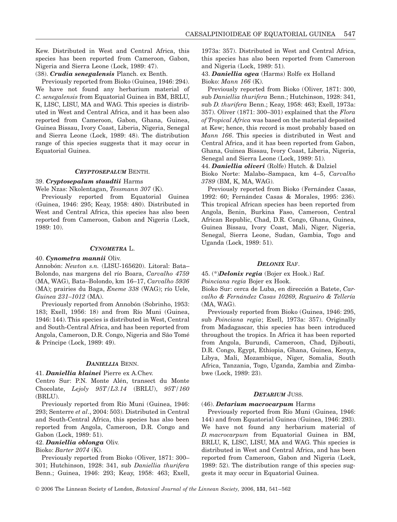Kew. Distributed in West and Central Africa, this species has been reported from Cameroon, Gabon, Nigeria and Sierra Leone (Lock, 1989: 47).

## (38). *Crudia senegalensis* Planch. ex Benth.

Previously reported from Bioko (Guinea, 1946: 294). We have not found any herbarium material of *C. senegalensis* from Equatorial Guinea in BM, BRLU, K, LISC, LISU, MA and WAG. This species is distributed in West and Central Africa, and it has been also reported from Cameroon, Gabon, Ghana, Guinea, Guinea Bissau, Ivory Coast, Liberia, Nigeria, Senegal and Sierra Leone (Lock, 1989: 48). The distribution range of this species suggests that it may occur in Equatorial Guinea.

## *CRYPTOSEPALUM* BENTH.

#### 39. *Cryptosepalum staudtii* Harms

Wele Nzas: Nkolentagan, *Tessmann 307* (K).

Previously reported from Equatorial Guinea (Guinea, 1946: 295; Keay, 1958: 480). Distributed in West and Central Africa, this species has also been reported from Cameroon, Gabon and Nigeria (Lock, 1989: 10).

## *CYNOMETRA* L.

#### 40. *Cynometra mannii* Oliv.

Annobón: *Newton s.n.* (LISU-165620). Litoral: Bata– Bolondo, nas margens del río Boara, *Carvalho 4759* (MA, WAG), Bata–Bolondo, km 16–17, *Carvalho 5936* (MA); prairies du Baga, *Eneme 338* (WAG); río Uele, *Guinea 231–1012* (MA).

Previously reported from Annobón (Sobrinho, 1953: 183; Exell, 1956: 18) and from Río Muni (Guinea, 1946: 144). This species is distributed in West, Central and South-Central Africa, and has been reported from Angola, Cameroon, D.R. Congo, Nigeria and São Tomé & Príncipe (Lock, 1989: 49).

## *DANIELLIA* BENN.

#### 41. *Daniellia klainei* Pierre ex A.Chev.

Centro Sur: P.N. Monte Alén, transect du Monte Chocolate, *Lejoly 95T/L3.14* (BRLU), *95T/160* (BRLU).

Previously reported from Río Muni (Guinea, 1946: 293; Senterre *et al*., 2004: 503). Distributed in Central and South-Central Africa, this species has also been reported from Angola, Cameroon, D.R. Congo and Gabon (Lock, 1989: 51).

## 42. *Daniellia oblonga* Oliv.

Bioko: *Barter 2074* (K).

Previously reported from Bioko (Oliver, 1871: 300– 301; Hutchinson, 1928: 341, sub *Daniellia thurifera* Benn.; Guinea, 1946: 293; Keay, 1958: 463; Exell,

1973a: 357). Distributed in West and Central Africa, this species has also been reported from Cameroon and Nigeria (Lock, 1989: 51).

## 43. *Daniellia ogea* (Harms) Rolfe ex Holland Bioko: *Mann 166* (K).

Previously reported from Bioko (Oliver, 1871: 300, sub *Daniellia thurifera* Benn.; Hutchinson, 1928: 341, sub *D. thurifera* Benn.; Keay, 1958: 463; Exell, 1973a: 357). Oliver (1871: 300–301) explained that the *Flora of Tropical Africa* was based on the material deposited at Kew; hence, this record is most probably based on *Mann 166*. This species is distributed in West and Central Africa, and it has been reported from Gabon, Ghana, Guinea Bissau, Ivory Coast, Liberia, Nigeria, Senegal and Sierra Leone (Lock, 1989: 51).

44. *Daniellia oliveri* (Rolfe) Hutch. & Dalziel

Bioko Norte: Malabo–Sampaca, km 4–5, *Carvalho 3789* (BM, K, MA, WAG).

Previously reported from Bioko (Fernández Casas, 1992: 60; Fernández Casas & Morales, 1995: 236). This tropical African species has been reported from Angola, Benin, Burkina Faso, Cameroon, Central African Republic, Chad, D.R. Congo, Ghana, Guinea, Guinea Bissau, Ivory Coast, Mali, Niger, Nigeria, Senegal, Sierra Leone, Sudan, Gambia, Togo and Uganda (Lock, 1989: 51).

#### *DELONIX* RAF.

## 45. (\*)*Delonix regia* (Bojer ex Hook.) Raf. *Poinciana regia* Bojer ex Hook.

Bioko Sur: cerca de Luba, en dirección a Batete, *Carvalho & Fernández Casas 10269, Regueiro & Tellería* (MA, WAG).

Previously reported from Bioko (Guinea, 1946: 295, sub *Poinciana regia*; Exell, 1973a: 357). Originally from Madagascar, this species has been introduced throughout the tropics. In Africa it has been reported from Angola, Burundi, Cameroon, Chad, Djibouti, D.R. Congo, Egypt, Ethiopia, Ghana, Guinea, Kenya, Libya, Mali, Mozambique, Niger, Somalia, South Africa, Tanzania, Togo, Uganda, Zambia and Zimbabwe (Lock, 1989: 23).

#### *DETARIUM* JUSS.

#### (46). *Detarium macrocarpum* Harms

Previously reported from Río Muni (Guinea, 1946: 144) and from Equatorial Guinea (Guinea, 1946: 293). We have not found any herbarium material of *D. macrocarpum* from Equatorial Guinea in BM, BRLU, K, LISC, LISU, MA and WAG. This species is distributed in West and Central Africa, and has been reported from Cameroon, Gabon and Nigeria (Lock, 1989: 52). The distribution range of this species suggests it may occur in Equatorial Guinea.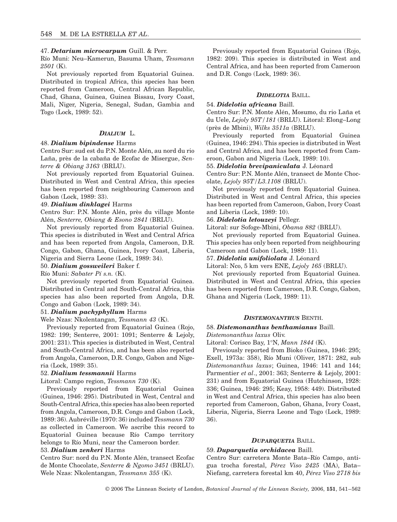#### 47. *Detarium microcarpum* Guill. & Perr.

Río Muni: Neu–Kamerun, Basuma Uham, *Tessmann 2501* (K).

Not previously reported from Equatorial Guinea. Distributed in tropical Africa, this species has been reported from Cameroon, Central African Republic, Chad, Ghana, Guinea, Guinea Bissau, Ivory Coast, Mali, Niger, Nigeria, Senegal, Sudan, Gambia and Togo (Lock, 1989: 52).

## *DIALIUM* L.

## 48. *Dialium bipindense* Harms

Centro Sur: sud est du P.N. Monte Alén, au nord du rio Laña, près de la cabaña de Ecofac de Misergue, *Senterre & Obiang 3163* (BRLU).

Not previously reported from Equatorial Guinea. Distributed in West and Central Africa, this species has been reported from neighbouring Cameroon and Gabon (Lock, 1989: 33).

#### 49. *Dialium dinklagei* Harms

Centro Sur: P.N. Monte Alén, près du village Monte Alén, *Senterre, Obiang & Esono 2841* (BRLU).

Not previously reported from Equatorial Guinea. This species is distributed in West and Central Africa and has been reported from Angola, Cameroon, D.R. Congo, Gabon, Ghana, Guinea, Ivory Coast, Liberia, Nigeria and Sierra Leone (Lock, 1989: 34).

#### 50. *Dialium gossweileri* Baker f.

Río Muni: *Sabater Pí s.n.* (K).

Not previously reported from Equatorial Guinea. Distributed in Central and South-Central Africa, this species has also been reported from Angola, D.R. Congo and Gabon (Lock, 1989: 34).

#### 51. *Dialium pachyphyllum* Harms

Wele Nzas: Nkolentangan, *Tessmann 43* (K).

Previously reported from Equatorial Guinea (Rojo, 1982: 199; Senterre, 2001: 1091; Senterre & Lejoly, 2001: 231). This species is distributed in West, Central and South-Central Africa, and has been also reported from Angola, Cameroon, D.R. Congo, Gabon and Nigeria (Lock, 1989: 35).

#### 52. *Dialium tessmannii* Harms

Litoral: Campo region, *Tessmann 730* (K).

Previously reported from Equatorial Guinea (Guinea, 1946: 295). Distributed in West, Central and South-Central Africa, this species has also been reported from Angola, Cameroon, D.R. Congo and Gabon (Lock, 1989: 36). Aubréville (1970: 36) included *Tessmann 730* as collected in Cameroon. We ascribe this record to Equatorial Guinea because Río Campo territory belongs to Río Muni, near the Cameroon border.

#### 53. *Dialium zenkeri* Harms

Centro Sur: nord du P.N. Monte Alén, transect Ecofac de Monte Chocolate, *Senterre & Ngomo 3451* (BRLU). Wele Nzas: Nkolentangan, *Tessmann 355* (K).

Previously reported from Equatorial Guinea (Rojo, 1982: 209). This species is distributed in West and Central Africa, and has been reported from Cameroon and D.R. Congo (Lock, 1989: 36).

#### *DIDELOTIA* BAILL.

## 54. *Didelotia africana* Baill.

Centro Sur: P.N. Monte Alén, Mosumo, du rio Laña et du Uele, *Lejoly 95T/181* (BRLU). Litoral: Elong–Long (près de Mbini), *Wilks 3511a* (BRLU).

Previously reported from Equatorial Guinea (Guinea, 1946: 294). This species is distributed in West and Central Africa, and has been reported from Cameroon, Gabon and Nigeria (Lock, 1989: 10).

## 55. *Didelotia brevipaniculata* J. Léonard

Centro Sur: P.N. Monte Alén, transect de Monte Chocolate, *Lejoly 95T/L3.1108* (BRLU).

Not previously reported from Equatorial Guinea. Distributed in West and Central Africa, this species has been reported from Cameroon, Gabon, Ivory Coast and Liberia (Lock, 1989: 10).

## 56. *Didelotia letouzeyi* Pellegr.

Litoral: sur Sofoge-Mbini, *Obama 882* (BRLU).

Not previously reported from Equatorial Guinea. This species has only been reported from neighbouring Cameroon and Gabon (Lock, 1989: 11).

57. *Didelotia unifoliolata* J. Léonard

Litoral: Nco, 5 km vers ENE, *Lejoly 165* (BRLU).

Not previously reported from Equatorial Guinea. Distributed in West and Central Africa, this species has been reported from Cameroon, D.R. Congo, Gabon, Ghana and Nigeria (Lock, 1989: 11).

#### *DISTEMONANTHUS* BENTH.

#### 58. *Distemonanthus benthamianus* Baill.

*Distemonanthus laxus* Oliv.

Litoral: Corisco Bay, 1°N, *Mann 1844* (K).

Previously reported from Bioko (Guinea, 1946: 295; Exell, 1973a: 358), Río Muni (Oliver, 1871: 282, sub *Distemonanthus laxus*; Guinea, 1946: 141 and 144; Parmentier *et al*., 2001: 363; Senterre & Lejoly, 2001: 231) and from Equatorial Guinea (Hutchinson, 1928: 336; Guinea, 1946: 295; Keay, 1958: 449). Distributed in West and Central Africa, this species has also been reported from Cameroon, Gabon, Ghana, Ivory Coast, Liberia, Nigeria, Sierra Leone and Togo (Lock, 1989: 36).

## *DUPARQUETIA* BAILL.

#### 59. *Duparquetia orchidacea* Baill.

Centro Sur: carretera Monte Bata–Río Campo, antigua trocha forestal, *Pérez Viso 2425* (MA), Bata– Niefang, carretera forestal km 40, *Pérez Viso 2718 bis*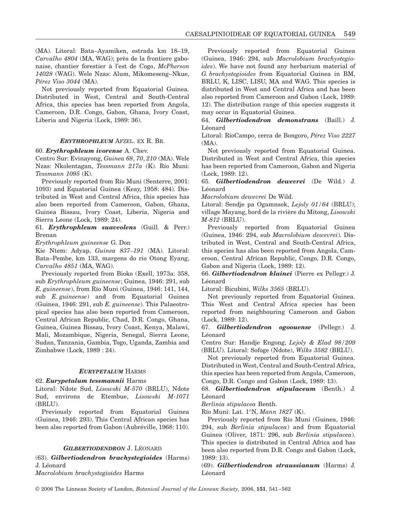(MA). Litoral: Bata–Ayamiken, estrada km 18–19, *Carvalho 4804* (MA, WAG); près de la frontiere gabonaise, chantier forestier à l'est de Cogo, *McPherson 14028* (WAG). Wele Nzas: Alum, Mikomeseng–Nkue, *Pérez Viso 3044* (MA).

Not previously reported from Equatorial Guinea. Distributed in West, Central and South-Central Africa, this species has been reported from Angola, Cameroon, D.R. Congo, Gabon, Ghana, Ivory Coast, Liberia and Nigeria (Lock, 1989: 36).

## *ERYTHROPHLEUM* AFZEL. EX R. BR.

#### 60. *Erythrophleum ivorense* A. Chev.

Centro Sur: Evinayong, *Guinea 68*, *70*, *210* (MA). Wele Nzas: Nkolentagan, *Tessmann 217a* (K). Río Muni: *Tessmann 1095* (K).

Previously reported from Río Muni (Senterre, 2001: 1093) and Equatorial Guinea (Keay, 1958: 484). Distributed in West and Central Africa, this species has also been reported from Cameroon, Gabon, Ghana, Guinea Bissau, Ivory Coast, Liberia, Nigeria and Sierra Leone (Lock, 1989: 24).

61. *Erythrophleum suaveolens* (Guill. & Perr.) Brenan

*Erythrophleum guineense* G. Don

Kie Ntem: Adyap, *Guinea 837–191* (MA). Litoral: Bata–Pembe, km 133, margens do rio Otong Eyang, *Carvalho 4851* (MA, WAG).

Previously reported from Bioko (Exell, 1973a: 358, sub *Erythrophleum guineense*; Guinea, 1946: 291, sub *E. guineense*), from Río Muni (Guinea, 1946: 141, 144, sub *E. guineense*) and from Equatorial Guinea (Guinea, 1946: 291, sub *E. guineense*). This Palaeotropical species has also been reported from Cameroon, Central African Republic, Chad, D.R. Congo, Ghana, Guinea, Guinea Bissau, Ivory Coast, Kenya, Malawi, Mali, Mozambique, Nigeria, Senegal, Sierra Leone, Sudan, Tanzania, Gambia, Togo, Uganda, Zambia and Zimbabwe (Lock, 1989 : 24).

#### *EURYPETALUM* HARMS

#### 62. *Eurypetalum tessmannii* Harms

Litoral: Ndote Sud, *Lisowski M-570* (BRLU), Ndote Sud, environs de Etembue, *Lisowski M-1071* (BRLU).

Previously reported from Equatorial Guinea (Guinea, 1946: 293). This Central African species has been also reported from Gabon (Aubréville, 1968: 110).

#### *GILBERTIODENDRON* J. LÉONARD

(63). *Gilbertiodendron brachystegioides* (Harms) J. Léonard

*Macrolobium brachystegioides* Harms

Previously reported from Equatorial Guinea (Guinea, 1946: 294, sub *Macrolobium brachystegioides*). We have not found any herbarium material of *G. brachystegioides* from Equatorial Guinea in BM, BRLU, K, LISC, LISU, MA and WAG. This species is distributed in West and Central Africa and has been also reported from Cameroon and Gabon (Lock, 1989: 12). The distribution range of this species suggests it may occur in Equatorial Guinea.

64. *Gilbertiodendron demonstrans* (Baill.) J. Léonard

Litoral: RíoCampo, cerca de Bongoro, *Pérez Viso 2227* (MA).

Not previously reported from Equatorial Guinea. Distributed in West and Central Africa, this species has been reported from Cameroon, Gabon and Nigeria (Lock, 1989: 12).

65. *Gilbertiodendron dewevrei* (De Wild.) J. Léonard

*Macrolobium dewevrei* De Wild.

Litoral: Sendje pa Ogamnsok, *Lejoly 01/64* (BRLU); village Mayang, bord de la rivière du Mitong, *Lisowski M-812* (BRLU).

Previously reported from Equatorial Guinea (Guinea, 1946: 294, sub *Macrolobium dewevrei*). Distributed in West, Central and South-Central Africa, this species has also been reported from Angola, Cameroon, Central African Republic, Congo, D.R. Congo, Gabon and Nigeria (Lock, 1989: 12).

66. *Gilbertiodendron klainei* (Pierre ex Pellegr.) J. Léonard

Litoral: Bicubini, *Wilks 3565* (BRLU).

Not previously reported from Equatorial Guinea. This West and Central Africa species has been reported from neighbouring Cameroon and Gabon (Lock, 1989: 12).

67. *Gilbertiodendron ogoouense* (Pellegr.) J. Léonard

Centro Sur: Handje Engong, *Lejoly & Elad 98/209* (BRLU). Litoral: Sofoge (Ndote), *Wilks 3582* (BRLU).

Not previously reported from Equatorial Guinea. Distributed in West, Central and South-Central Africa, this species has been reported from Angola, Cameroon, Congo, D.R. Congo and Gabon (Lock, 1989: 13).

68. *Gilbertiodendron stipulaceum* (Benth.) J. Léonard

*Berlinia stipulacea* Benth.

Río Muni: Lat. 1°N, *Mann 1827* (K).

Previously reported from Río Muni (Guinea, 1946: 294, sub *Berlinia stipulacea*) and from Equatorial Guinea (Oliver, 1871: 296, sub *Berlinia stipulacea*). This species is distributed in Central Africa and has been also reported from D.R. Congo and Gabon (Lock, 1989: 13).

(69). *Gilbertiodendron straussianum* (Harms) J. Léonard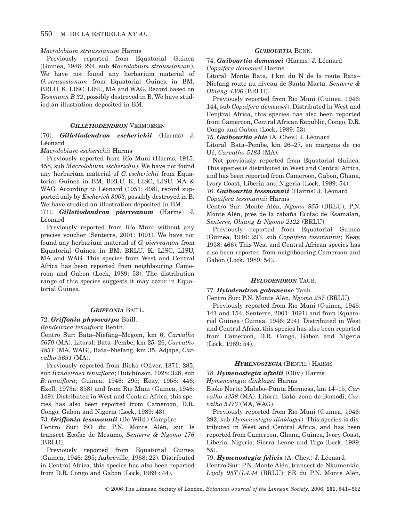## *Macrolobium straussianum* Harms

Previously reported from Equatorial Guinea (Guinea, 1946: 294, sub *Macrolobium straussianum*). We have not found any herbarium material of *G. straussianum* from Equatorial Guinea in BM, BRLU, K, LISC, LISU, MA and WAG. Record based on *Tessmann B 32*, possibly destroyed in B. We have studied an illustration deposited in BM.

## *GILLETIODENDRON* VERMOESEN

## (70). *Gilletiodendron escherichii* (Harms) J. Léonard

*Macrolobium escherichii* Harms

Previously reported from Río Muni (Harms, 1915: 458, sub *Macrolobium escherichii*). We have not found any herbarium material of *G. escherichii* from Equatorial Guinea in BM, BRLU, K, LISC, LISU, MA & WAG. According to Léonard (1951: 408), record supported only by *Escherich 3003*, possibly destroyed in B. We have studied an illustration deposited in BM.

(71). *Gilletiodendron pierreanum* (Harms) J. Léonard

Previously reported from Río Muni without any precise voucher (Senterre, 2001: 1091). We have not found any herbarium material of *G. pierreanum* from Equatorial Guinea in BM, BRLU, K, LISC, LISU, MA and WAG. This species from West and Central Africa has been reported from neighbouring Cameroon and Gabon (Lock, 1989: 53). The distribution range of this species suggests it may occur in Equatorial Guinea.

## *GRIFFONIA* BAILL.

#### 72. *Griffonia physocarpa* Baill.

#### *Bandeiraea tenuiflora* Benth.

Centro Sur: Bata–Niefang–Mogom, km 6, *Carvalho 5670* (MA). Litoral: Bata–Pembe, km 25–26, *Carvalho 4831* (MA, WAG), Bata–Niefang, km 35, Adjape, *Carvalho 5691* (MA).

Previously reported from Bioko (Oliver, 1871: 285, sub *Bandeiraea tenuiflora*; Hutchinson, 1928: 328, sub *B. tenuiflora*; Guinea, 1946: 295; Keay, 1958: 446; Exell, 1973a: 358) and from Río Muni (Guinea, 1946: 149). Distributed in West and Central Africa, this species has also been reported from Cameroon, D.R. Congo, Gabon and Nigeria (Lock, 1989: 43).

73. *Griffonia tessmannii* (De Wild.) Compère

Centro Sur: SO du P.N. Monte Alén, sur le transect Ecofac de Mosumo, *Senterre & Ngomo 176* (BRLU).

Previously reported from Equatorial Guinea (Guinea, 1946: 295; Aubréville, 1968: 22). Distributed in Central Africa, this species has also been reported from D.R. Congo and Gabon (Lock, 1989 : 44).

### *GUIBOURTIA* BENN.

## 74. *Guibourtia demeusei* (Harms) J. Léonard *Copaifera demeusei* Harms

Litoral: Monte Bata, 1 km du N de la route Bata– Niefang route au niveau de Santa Marta, *Senterre & Obiang 4306* (BRLU).

Previously reported from Río Muni (Guinea, 1946: 144, sub *Copaifera demeusei*). Distributed in West and Cenjtral Africa, this species has also been reported from Cameroon, Central African Republic, Congo, D.R. Congo and Gabon (Lock, 1989: 53).

75. *Guibourtia ehie* (A. Chev.) J. Léonard

Litoral: Bata–Pembe, km 26–27, en margens de río Ué, *Carvalho 5183* (MA).

Not previously reported from Equatorial Guinea. This species is distributed in West and Central Africa, and has been reported from Cameroon, Gabon, Ghana, Ivory Coast, Liberia and Nigeria (Lock, 1989: 54).

76. *Guibourtia tessmannii* (Harms) J. Léonard *Copaifera tessmannii* Harms

Centro Sur: Monte Alén, *Ngomo 955* (BRLU); P.N. Monte Alén, près de la cabaña Ecofac de Esamalan, *Senterre, Obiang & Ngomo 2122* (BRLU).

Previously reported from Equatorial Guinea (Guinea, 1946: 293, sub *Copaifera tessmannii*; Keay, 1958: 466). This West and Central African species has also been reported from neighbouring Cameroon and Gabon (Lock, 1989: 54).

## *HYLODENDRON* TAUB.

#### 77. *Hylodendron gabunense* Taub.

Centro Sur: P.N. Monte Alén, *Ngomo 257* (BRLU).

Previously reported from Río Muni (Guinea, 1946: 141 and 154; Senterre, 2001: 1091) and from Equatorial Guinea (Guinea, 1946: 294). Distributed in West and Central Africa, this species has also been reported from Cameroon, D.R. Congo, Gabon and Nigeria (Lock, 1989: 54).

## *HYMENOSTEGIA* (BENTH.) HARMS

#### 78. *Hymenostegia afzelii* (Oliv.) Harms

#### *Hymenostegia dinklagei* Harms

Bioko Norte: Malabo–Punta Hermosa, km 14–15, *Carvalho 4338* (MA). Litoral: Bata–zona de Bomodi, *Carvalho 5473* (MA, WAG).

Previously reported from Río Muni (Guinea, 1946: 292, sub *Hymenostegia dinklagei*). This species is distributed in West and Central Africa, and has been reported from Cameroon, Ghana, Guinea, Ivory Coast, Liberia, Nigeria, Sierra Leone and Togo (Lock, 1989: 55).

79. *Hymenostegia felicis* (A. Chev.) J. Léonard Centro Sur: P.N. Monte Alén, transect de Nkumenkie, *Lejoly 95T/L4.44* (BRLU); SE du P.N. Monte Alén,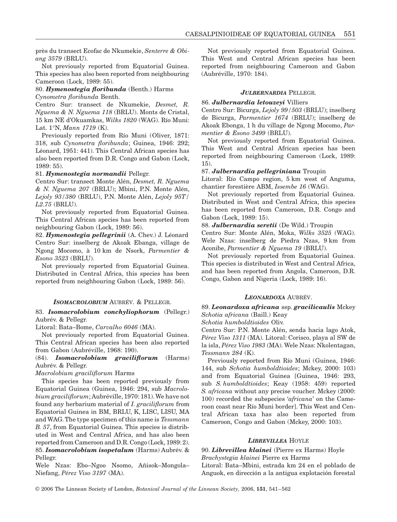près du transect Ecofac de Nkumekie, *Senterre & Obiang 3579* (BRLU).

Not previously reported from Equatorial Guinea. This species has also been reported from neighbouring Cameroon (Lock, 1989: 55).

## 80. *Hymenostegia floribunda* (Benth.) Harms

*Cynometra floribunda* Benth.

Centro Sur: transect de Nkumekie, *Desmet, R. Nguema & N. Nguema 118* (BRLU). Monts de Cristal, 15 km NE d'Okuamkas, *Wilks 1820* (WAG). Río Muni: Lat. 1°N, *Mann 1719* (K).

Previously reported from Río Muni (Oliver, 1871: 318, sub *Cynometra floribunda*; Guinea, 1946: 292; Léonard, 1951: 441). This Central African species has also been reported from D.R. Congo and Gabon (Lock, 1989: 55).

#### 81. *Hymenostegia normandii* Pellegr.

Centro Sur: transect Monte Alén, *Desmet, R. Nguema & N. Nguema 207* (BRLU); Mbini, P.N. Monte Alén, *Lejoly 93/380* (BRLU), P.N. Monte Alén, *Lejoly 95T/ L2.75* (BRLU).

Not previously reported from Equatorial Guinea. This Central African species has been reported from neighbouring Gabon (Lock, 1989: 56).

82. *Hymenostegia pellegrinii* (A. Chev.) J. Léonard Centro Sur: inselberg de Akoak Ebanga, village de Ngong Mocomo, à 10 km de Nsork, *Parmentier & Esono 3523* (BRLU).

Not previously reported from Equatorial Guinea. Distributed in Central Africa, this species has been reported from neighbouring Gabon (Lock, 1989: 56).

#### *ISOMACROLOBIUM* AUBRÉV. & PELLEGR.

83. *Isomacrolobium conchyliophorum* (Pellegr.) Aubrév. & Pellegr.

Litoral: Bata–Bome, *Carvalho 6046* (MA).

Not previously reported from Equatorial Guinea. This Central African species has been also reported from Gabon (Aubréville, 1968: 190).

## (84). *Isomacrolobium graciliflorum* (Harms) Aubrév. & Pellegr.

#### *Macrolobium graciliflorum* Harms

This species has been reported previously from Equatorial Guinea (Guinea, 1946: 294, sub *Macrolobium graciliflorum*; Aubréville, 1970: 181). We have not found any herbarium material of *I. graciliflorum* from Equatorial Guinea in BM, BRLU, K, LISC, LISU, MA and WAG. The type specimen of this name is *Tessmann B. 57*, from Equatorial Guinea. This species is distributed in West and Central Africa, and has also been reported from Cameroon and D.R. Congo (Lock, 1989: 2). 85. *Isomacrolobium isopetalum* (Harms) Aubrév. & Pellegr.

Wele Nzas: Ebo–Ngoo Nsomo, Añisok–Mongola– Niefang, *Pérez Viso 3197* (MA).

Not previously reported from Equatorial Guinea. This West and Central African species has been reported from neighbouring Cameroon and Gabon (Aubréville, 1970: 184).

## *JULBERNARDIA* PELLEGR.

#### 86. *Julbernardia letouzeyi* Villiers

Centro Sur: Bicurga, *Lejoly 99/503* (BRLU); inselberg de Bicurga, *Parmentier 1674* (BRLU); inselberg de Akoak Ebonga, 1 h du village de Ngong Mocomo, *Parmentier & Esono 3499* (BRLU).

Not previously reported from Equatorial Guinea. This West and Central African species has been reported from neighbouring Cameroon (Lock, 1989: 15).

#### 87. *Julbernardia pellegriniana* Troupin

Litoral: Río Campo region, 5 km west of Anguma, chantier forestière ABM, *Issembe 16* (WAG).

Not previously reported from Equatorial Guinea. Distributed in West and Central Africa, this species has been reported from Cameroon, D.R. Congo and Gabon (Lock, 1989: 15).

## 88. *Julbernardia seretii* (De Wild.) Troupin

Centro Sur: Monte Alén, Moka, *Wilks 3525* (WAG). Wele Nzas: inselberg de Piedra Nzas, 9 km from Aconibe, *Parmentier & Nguema 19* (BRLU).

Not previously reported from Equatorial Guinea. This species is distributed in West and Central Africa, and has been reported from Angola, Cameroon, D.R. Congo, Gabon and Nigeria (Lock, 1989: 16).

#### *LEONARDOXA* AUBRÉV.

## 89. *Leonardoxa africana* ssp. *gracilicaulis* Mckey *Schotia africana* (Baill.) Keay

*Schotia humboldtioides* Oliv.

Centro Sur: P.N. Monte Alén, senda hacia lago Atok, *Pérez Viso 1311* (MA). Litoral: Corisco, playa al SW de la isla, *Pérez Viso 1983* (MA). Wele Nzas: Nkolentagan, *Tessmann 284* (K).

Previously reported from Río Muni (Guinea, 1946: 144, sub *Schotia humboldtioides*; Mckey, 2000: 103) and from Equatorial Guinea [Guinea, 1946: 293, sub *S. humboldtioides*; Keay (1958: 459) reported *S. africana* without any precise voucher. Mckey (2000: 100) recorded the subspecies '*africana*' on the Cameroon coast near Río Muni border]. This West and Central African taxa has also been reported from Cameroon, Congo and Gabon (Mckey, 2000: 103).

## *LIBREVILLEA* HOYLE

## 90. *Librevillea klainei* (Pierre ex Harms) Hoyle

*Brachystegia klainei* Pierre ex Harms Litoral: Bata–Mbini, estrada km 24 en el poblado de Anguok, en dirección a la antigua explotación forestal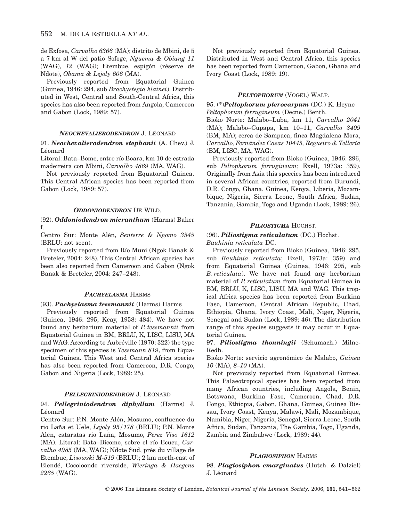de Exfosa, *Carvalho 6366* (MA); distrito de Mbini, de 5 a 7 km al W del patio Sofoge, *Nguema & Obiang 11* (WAG), *12* (WAG); Etembue, espigón (réserve de Ndote), *Obama & Lejoly 606* (MA).

Previously reported from Equatorial Guinea (Guinea, 1946: 294, sub *Brachystegia klainei*). Distributed in West, Central and South-Central Africa, this species has also been reported from Angola, Cameroon and Gabon (Lock, 1989: 57).

#### *NEOCHEVALIERODENDRON* J. LÉONARD

## 91. *Neochevalierodendron stephanii* (A. Chev.) J. Léonard

Litoral: Bata–Bome, entre río Boara, km 10 de estrada madeireira con Mbini, *Carvalho 4869* (MA, WAG).

Not previously reported from Equatorial Guinea. This Central African species has been reported from Gabon (Lock, 1989: 57).

#### *ODDONIODENDRON* DE WILD.

## (92). *Oddoniodendron micranthum* (Harms) Baker f.

Centro Sur: Monte Alén, *Senterre & Ngomo 3545* (BRLU: not seen).

Previously reported from Río Muni (Ngok Banak & Breteler, 2004: 248). This Central African species has been also reported from Cameroon and Gabon (Ngok Banak & Breteler, 2004: 247–248).

#### *PACHYELASMA* HARMS

#### (93). *Pachyelasma tessmannii* (Harms) Harms

Previously reported from Equatorial Guinea (Guinea, 1946: 295; Keay, 1958: 484). We have not found any herbarium material of *P. tessmannii* from Equatorial Guinea in BM, BRLU, K, LISC, LISU, MA and WAG. According to Aubréville (1970: 322) the type specimen of this species is *Tessmann 819*, from Equatorial Guinea. This West and Central Africa species has also been reported from Cameroon, D.R. Congo, Gabon and Nigeria (Lock, 1989: 25).

#### *PELLEGRINIODENDRON* J. LÉONARD

## 94. *Pellegriniodendron diphyllum* (Harms) J. Léonard

Centro Sur: P.N. Monte Alén, Mosumo, confluence du rio Laña et Uele, *Lejoly 95/178* (BRLU); P.N. Monte Alén, cataratas río Laña, Mosumo, *Pérez Viso 1612* (MA). Litoral: Bata–Bicomo, sobre el río Ecucu, *Carvalho 4985* (MA, WAG); Ndote Sud, près du village de Etembue, *Lisowski M-519* (BRLU); 2 km north-east of Elendé, Cocoloondo riverside, *Wieringa & Haegens 2265* (WAG).

Not previously reported from Equatorial Guinea. Distributed in West and Central Africa, this species has been reported from Cameroon, Gabon, Ghana and Ivory Coast (Lock, 1989: 19).

#### *PELTOPHORUM* (VOGEL) WALP.

95. (\*)*Peltophorum pterocarpum* (DC.) K. Heyne *Peltophorum ferrugineum* (Decne.) Benth.

Bioko Norte: Malabo–Luba, km 11, *Carvalho 2041* (MA); Malabo–Cupapa, km 10–11, *Carvalho 3409* (BM, MA); cerca de Sampaca, finca Magdalena Mora, *Carvalho, Fernández Casas 10445, Regueiro & Tellería* (BM, LISC, MA, WAG).

Previously reported from Bioko (Guinea, 1946: 296, sub *Peltophorum ferrugineum*; Exell, 1973a: 359). Originally from Asia this spcecies has been introduced in several African countries, reported from Burundi, D.R. Congo, Ghana, Guinea, Kenya, Liberia, Mozambique, Nigeria, Sierra Leone, South Africa, Sudan, Tanzania, Gambia, Togo and Uganda (Lock, 1989: 26).

## *PILIOSTIGMA* HOCHST.

## (96). *Piliostigma reticulatum* (DC.) Hochst. *Bauhinia reticulata* DC.

Previously reported from Bioko (Guinea, 1946: 295, sub *Bauhinia reticulata*; Exell, 1973a: 359) and from Equatorial Guinea (Guinea, 1946: 295, sub *B. reticulata*). We have not found any herbarium material of *P. reticulatum* from Equatorial Guinea in BM, BRLU, K, LISC, LISU, MA and WAG. This tropical Africa species has been reported from Burkina Faso, Cameroon, Central African Republic, Chad, Ethiopia, Ghana, Ivory Coast, Mali, Niger, Nigeria, Senegal and Sudan (Lock, 1989: 46). The distribution range of this species suggests it may occur in Equatorial Guinea.

## 97. *Piliostigma thonningii* (Schumach.) Milne-Redh.

Bioko Norte: servicio agronómico de Malabo, *Guinea 10* (MA), *8–10* (MA).

Not previously reported from Equatorial Guinea. This Palaeotropical species has been reported from many African countries, including Angola, Benin, Botswana, Burkina Faso, Cameroon, Chad, D.R. Congo, Ethiopia, Gabon, Ghana, Guinea, Guinea Bissau, Ivory Coast, Kenya, Malawi, Mali, Mozambique, Namibia, Niger, Nigeria, Senegal, Sierra Leone, South Africa, Sudan, Tanzania, The Gambia, Togo, Uganda, Zambia and Zimbabwe (Lock, 1989: 44).

### *PLAGIOSIPHON* HARMS

98. *Plagiosiphon emarginatus* (Hutch. & Dalziel) J. Léonard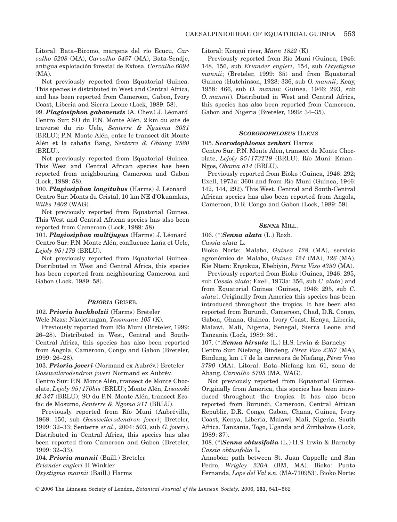Litoral: Bata–Bicomo, margens del río Ecucu, *Carvalho 5208* (MA), *Carvalho 5457* (MA), Bata-Sendje, antigua explotación forestal de Exfosa, *Carvalho 6094* (MA).

Not previously reported from Equatorial Guinea. This species is distributed in West and Central Africa, and has been reported from Cameroon, Gabon, Ivory Coast, Liberia and Sierra Leone (Lock, 1989: 58).

99. *Plagiosiphon gabonensis* (A. Chev.) J. Léonard Centro Sur: SO du P.N. Monte Alén, 2 km du site de traversé du rio Uele, *Senterre & Nguema 3031* (BRLU); P.N. Monte Alén, entre le transect dit Monte Alén et la cabaña Bang, *Senterre & Obiang 2560* (BRLU).

Not previously reported from Equatorial Guinea. This West and Central African species has been reported from neighbouring Cameroon and Gabon (Lock, 1989: 58).

100. *Plagiosiphon longitubus* (Harms) J. Léonard Centro Sur: Monts du Cristal, 10 km NE d'Okuamkas, *Wilks 1802* (WAG).

Not previously reported from Equatorial Guinea. This West and Central African species has also been reported from Cameroon (Lock, 1989: 58).

101. *Plagiosiphon multijugus* (Harms) J. Léonard Centro Sur: P.N. Monte Alén, confluence Laña et Uele, *Lejoly 95/179* (BRLU).

Not previously reported from Equatorial Guinea. Distributed in West and Central Africa, this species has been reported from neighbouring Cameroon and Gabon (Lock, 1989: 58).

### *PRIORIA* GRISEB.

102. *Prioria buchholzii* (Harms) Breteler Wele Nzas: Nkoletangan, *Tessmann 105* (K).

Previously reported from Río Muni (Breteler, 1999: 26–28). Distributed in West, Central and South-Central Africa, this species has also been reported from Angola, Cameroon, Congo and Gabon (Breteler, 1999: 26–28).

103. *Prioria joveri* (Normand ex Aubrév.) Breteler *Gossweilerodendron joveri* Normand ex Aubrév. Centro Sur: P.N. Monte Alén, transect de Monte Chocolate, *Lejoly 95/170bis* (BRLU); Monte Alén, *Lisowski M-347* (BRLU); SO du P.N. Monte Alén, transect Ecofac de Mosumo, *Senterre & Ngomo 911* (BRLU).

Previously reported from Río Muni (Aubréville, 1968: 150, sub *Gossweilerodendron joveri*; Breteler, 1999: 32–33; Senterre *et al*., 2004: 503, sub *G. joveri*). Distributed in Central Africa, this species has also been reported from Cameroon and Gabon (Breteler, 1999: 32–33).

104. *Prioria mannii* (Baill.) Breteler *Eriander engleri* H.Winkler *Oxystigma mannii* (Baill.) Harms

Litoral: Kongui river, *Mann 1822* (K).

Previously reported from Río Muni (Guinea, 1946: 148, 156, sub *Eriander engleri*, 154, sub *Oxystigma mannii*; (Breteler, 1999: 35) and from Equatorial Guinea (Hutchinson, 1928: 336, sub *O. mannii*; Keay, 1958: 466, sub *O. mannii*; Guinea, 1946: 293, sub *O. mannii*). Distributed in West and Central Africa, this species has also been reported from Cameroon, Gabon and Nigeria (Breteler, 1999: 34–35).

## *SCORODOPHLOEUS* HARMS

## 105. *Scorodophloeus zenkeri* Harms

Centro Sur: P.N. Monte Alén, transect de Monte Chocolate, *Lejoly 95/173T19* (BRLU). Río Muni: Eman– Ngos, *Obama 814* (BRLU).

Previously reported from Bioko (Guinea, 1946: 292; Exell, 1973a: 360) and from Río Muni (Guinea, 1946: 142, 144, 292). This West, Central and South-Central African species has also been reported from Angola, Cameroon, D.R. Congo and Gabon (Lock, 1989: 59).

## *SENNA* MILL.

106. (\*)*Senna alata* (L.) Roxb.

*Cassia alata* L.

Bioko Norte: Malabo, *Guinea 128* (MA), servicio agronómico de Malabo, *Guinea 124* (MA), *126* (MA). Kie Ntem: Engokua, Ebebiyin, *Pérez Viso 4350* (MA).

Previously reported from Bioko (Guinea, 1946: 295, sub *Cassia alata*; Exell, 1973a: 356, sub *C. alata*) and from Equatorial Guinea (Guinea, 1946: 295, sub *C. alata*). Originally from America this species has been introduced throughout the tropics. It has been also reported from Burundi, Cameroon, Chad, D.R. Congo, Gabon, Ghana, Guinea, Ivory Coast, Kenya, Liberia, Malawi, Mali, Nigeria, Senegal, Sierra Leone and Tanzania (Lock, 1989: 36).

107. (\*)*Senna hirsuta* (L.) H.S. Irwin & Barneby

Centro Sur: Niefang, Bindeng, *Pérez Viso 2367* (MA), Bindung, km 17 de la carretera de Niefang, *Pérez Viso 3790* (MA). Litoral: Bata–Niefang km 61, zona de Abang, *Carvalho 5705* (MA, WAG).

Not previously reported from Equatorial Guinea. Originally from America, this species has been introduced throughout the tropics. It has also been reported from Burundi, Cameroon, Central African Republic, D.R. Congo, Gabon, Chana, Guinea, Ivory Coast, Kenya, Liberia, Malawi, Mali, Nigeria, South Africa, Tanzania, Togo, Uganda and Zimbabwe (Lock, 1989: 37).

108. (\*)*Senna obtusifolia* (L.) H.S. Irwin & Barneby *Cassia obtusifolia* L.

Annobón: path between St. Juan Cappelle and San Pedro, *Wrigley 230A* (BM, MA). Bioko: Punta Fernanda, *Lope del Val* s*.n.* (MA-710953). Bioko Norte: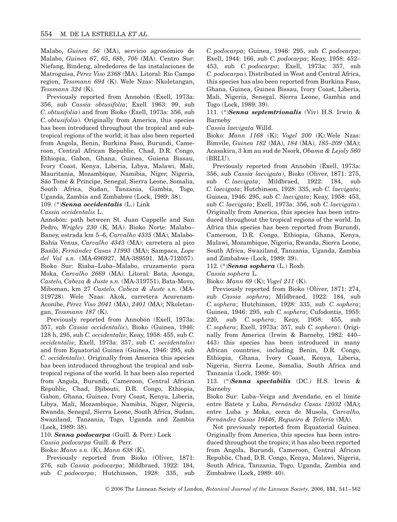Malabo, *Guinea 56* (MA), servicio agronómico de Malabo, *Guinea 67*, *65*, *68b*, *70b* (MA). Centro Sur: Niefang, Bindeng, alrededores de las instalaciones de Matroguisa, *Pérez Viso 2368* (MA). Litoral: Río Campo region, *Tessmann 694* (K). Wele Nzas: Nkoletangan, *Tessmann 324* (K).

Previously reported from Annobón (Exell, 1973a: 356, sub *Cassia obtusifolia*; Exell 1963: 99, sub *C. obtusifolia*) and from Bioko (Exell, 1973a: 356, sub *C. obtusifolia*). Originally from America, this species has been introduced throughout the tropical and subtropical regions of the world; it has also been reported from Angola, Benin, Burkina Faso, Burundi, Cameroon, Central African Republic, Chad, D.R. Congo, Ethiopia, Gabon, Ghana, Guinea, Guiena Bissau, Ivory Coast, Kenya, Liberia, Libya, Malawi, Mali, Mauritania, Mozambique, Namibia, Niger, Nigeria, São Tomé & Príncipe, Senegal, Sierra Leone, Somalia, South Africa, Sudan, Tanzania, Gambia, Togo, Uganda, Zambia and Zimbabwe (Lock, 1989: 38).

109. (\*)*Senna occidentalis* (L.) Link

*Cassia occidentalis* L.

Annobón: path between St. Juan Cappelle and San Pedro, *Wrigley 230* (K, MA). Bioko Norte: Malabo– Baney, estrada km 5–6, *Carvalho 4335* (MA), Malabo-Bahía Venus, *Carvalho 434*3 (MA); carretera al pico Basilé, *Fernández Casas 11993* (MA); Sampaca, *Lope del Val* s*.n.* (MA-696927, MA-389591, MA-712057). Bioko Sur: Riaba–Luba–Malabo, cruzamento para Moka, *Carvalho 2669* (MA). Litoral: Bata, Asonga, *Castelo, Cabeza & Juste* s*.n.* (MA-319751), Bata-Movo, Miboman, km 27 *Castelo, Cabeza & Juste s.n.* (MA-319728). Wele Nzas: Akok, carretera Acurenam-Aconibe, *Pérez Viso 2041* (MA), *2401* (MA); Nkoletangan, *Tessmann 187* (K).

Previously reported from Annobón (Exell, 1973a: 357, sub *Cassia occidentalis*), Bioko (Guinea, 1946: 128 h, 295, sub *C. occidentalis*; Keay, 1958: 455, sub *C. occidentalis*; Exell, 1973a: 357, sub *C. occidentalis*) and from Equatorial Guinea (Guinea, 1946: 295, sub *C. occidentalis*). Originally from America this species has been introduced throughout the tropical and subtropical regions of the world. It has been also reported from Angola, Burundi, Cameroon, Central African Republic, Chad, Djibouti, D.R. Congo, Ethiopia, Gabon, Ghana, Guinea, Ivory Coast, Kenya, Liberia, Libya, Mali, Mozambique, Namibia, Niger, Nigeria, Rwanda, Senegal, Sierra Leone, South Africa, Sudan, Swaziland, Tanzania, Togo, Uganda and Zambia (Lock, 1989: 38).

110. *Senna podocarpa* (Guill. & Perr.) Lock

## *Cassia podocarpa* Guill. & Perr.

Bioko: *Mann s.n.* (K), *Mann 638* (K).

Previously reported from Bioko (Oliver, 1871: 276, sub *Cassia podocarpa*; Mildbraed, 1922: 184, sub *C. podocarpa*; Hutchinson, 1928: 335, sub

*C. podocarpa*; Guinea, 1946: 295, sub *C. podocarpa*; Exell, 1944: 166, sub *C. podocarpa*; Keay, 1958: 452– 453, sub *C. podocarpa*; Exell, 1973a: 357, sub *C. podocarpa*). Distributed in West and Central Africa, this species has also been reported from Burkina Faso, Ghana, Guinea, Guinea Bissau, Ivory Coast, Liberia, Mali, Nigeria, Senegal, Sierra Leone, Gambia and Togo (Lock, 1989: 39).

111. (\*)*Senna septemtrionalis* (Viv) H.S. Irwin & Barneby

*Cassia laevigata* Willd.

Bioko: *Mann 1168* (K); *Vogel 200* (K).Wele Nzas: Bimvile, *Guinea 182* (MA), *184* (MA), *185–209* (MA); Acasakira, 3 km au sud de Nsork, *Obama & Lejoly 560* (BRLU).

Previously reported from Annobón (Exell, 1973a: 356, sub *Cassia laevigata*), Bioko (Oliver, 1871: 275, sub *C. laevigata*; Mildbraed, 1922: 184, sub *C. laevigata*; Hutchinson, 1928: 335, sub *C. laevigata*; Guinea, 1946: 295, sub *C. laevigata*; Keay, 1958: 453, sub *C. laevigata*; Exell, 1973a: 356, sub *C. laevigata*). Originally from America, this species has been introduced throughout the tropical regions of the world. In Africa this species has been reported from Burundi, Cameroon, D.R. Congo, Ethiopia, Ghana, Kenya, Malawi, Mozambique, Nigeria, Rwanda, Sierra Leone, South Africa, Swaziland, Tanzania, Uganda, Zambia and Zimbabwe (Lock, 1989: 39).

112. (\*)*Senna sophera* (L.) Roxb.

*Cassia sophera* L.

Bioko: *Mann 69* (K); *Vogel 211* (K).

Previously reported from Bioko (Oliver, 1871: 274, sub *Cassia sophera*; Mildbraed, 1922: 184, sub *C. sophera*; Hutchinson, 1928: 335, sub *C. sophera*; Guinea, 1946: 295, sub *C. sophera*; Cufodontis, 1955: 220, sub *C. sophera*; Keay, 1958: 455, sub *C. sophera*; Exell, 1973a: 357, sub *C. sophera*). Originally from America (Irwin & Barneby, 1982: 440– 443) this species has been introduced in many African countries, including Benin, D.R. Congo, Ethiopia, Ghana, Ivory Coast, Kenya, Liberia, Nigeria, Sierra Leone, Somalia, South Africa and Tanzania (Lock, 1989: 40).

113. (\*)*Senna spectabilis* (DC.) H.S. Irwin & Barneby

Bioko Sur: Luba–Veiga and Avendaño, en el límite entre Batete y Luba, *Fernández Casas 12032* (MA); entre Luba y Moka, cerca de Musola, *Carvalho, Fernández Casas 10446, Regueiro & Tellería* (MA).

Not previously reported from Equatorial Guinea. Originally from America, this species has been introduced throughout the tropics; it has also been reported from Angola, Burundi, Cameroon, Central African Republic, Chad, D.R. Congo, Kenya, Malawi, Nigeria, South Africa, Tanzania, Togo, Uganda, Zambia and Zimbabwe (Lock, 1989: 40).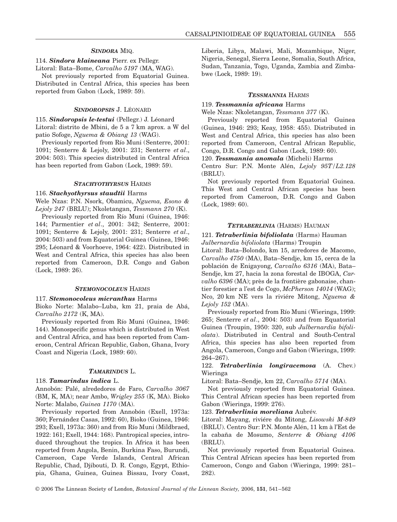## *SINDORA* MIQ.

## 114. *Sindora klaineana* Pierr. ex Pellegr.

Litoral: Bata–Bome, *Carvalho 5197* (MA, WAG).

Not previously reported from Equatorial Guinea. Distributed in Central Africa, this species has been reported from Gabon (Lock, 1989: 59).

## *SINDOROPSIS* J. LÉONARD

115. *Sindoropsis le-testui* (Pellegr.) J. Léonard Litoral: distrito de Mbini, de 5 a 7 km aprox. a W del patio Sofoge, *Nguema & Obiang 13* (WAG).

Previously reported from Río Muni (Senterre, 2001: 1091; Senterre & Lejoly, 2001: 231; Senterre *et al*., 2004: 503). This species distributed in Central Africa has been reported from Gabon (Lock, 1989: 59).

#### *STACHYOTHYRSUS* HARMS

#### 116. *Stachyothyrsus staudtii* Harms

Wele Nzas: P.N. Nsork, Obamicu, *Nguema, Esono & Lejoly 247* (BRLU); Nkoletangan, *Tessmann 270* (K).

Previously reported from Río Muni (Guinea, 1946: 144; Parmentier *et al*., 2001: 342; Senterre, 2001: 1091; Senterre & Lejoly, 2001: 231; Senterre *et al*., 2004: 503) and from Equatorial Guinea (Guinea, 1946: 295; Léonard & Voorhoeve, 1964: 422). Distributed in West and Central Africa, this species has also been reported from Cameroon, D.R. Congo and Gabon (Lock, 1989: 26).

#### *STEMONOCOLEUS* HARMS

#### 117. *Stemonocoleus micranthus* Harms

Bioko Norte: Malabo–Luba, km 21, praia de Abá, *Carvalho 2172* (K, MA).

Previously reported from Río Muni (Guinea, 1946: 144). Monospecific genus which is distributed in West and Central Africa, and has been reported from Cameroon, Central African Republic, Gabon, Ghana, Ivory Coast and Nigeria (Lock, 1989: 60).

#### *TAMARINDUS* L.

#### 118. *Tamarindus indica* L.

Annobón: Palé, alrededores de Faro, *Carvalho 3067* (BM, K, MA); near Ambo, *Wrigley 255* (K, MA). Bioko Norte: Malabo, *Guinea 1170* (MA).

Previously reported from Annobón (Exell, 1973a: 360; Fernández Casas, 1992: 60), Bioko (Guinea, 1946: 293; Exell, 1973a: 360) and from Río Muni (Mildbraed, 1922: 161; Exell, 1944: 168). Pantropical species, introduced throughout the tropics. In Africa it has been reported from Angola, Benin, Burkina Faso, Burundi, Cameroon, Cape Verde Islands, Central African Republic, Chad, Djibouti, D. R. Congo, Egypt, Ethiopia, Ghana, Guinea, Guinea Bissau, Ivory Coast,

Liberia, Libya, Malawi, Mali, Mozambique, Niger, Nigeria, Senegal, Sierra Leone, Somalia, South Africa, Sudan, Tanzania, Togo, Uganda, Zambia and Zimbabwe (Lock, 1989: 19).

#### *TESSMANNIA* HARMS

## 119. *Tessmannia africana* Harms

Wele Nzas: Nkoletangan, *Tessmann 377* (K).

Previously reported from Equatorial Guinea (Guinea, 1946: 293; Keay, 1958: 455). Distributed in West and Central Africa, this species has also been reported from Cameroon, Central African Republic, Congo, D.R. Congo and Gabon (Lock, 1989: 60).

#### 120. *Tessmannia anomala* (Micheli) Harms

Centro Sur: P.N. Monte Alén, *Lejoly 95T/L2.128* (BRLU).

Not previously reported from Equatorial Guinea. This West and Central African species has been reported from Cameroon, D.R. Congo and Gabon (Lock, 1989: 60).

## *TETRABERLINIA* (HARMS) HAUMAN

## 121. *Tetraberlinia bifoliolata* (Harms) Hauman *Julbernardia bifoliolata* (Harms) Troupin

Litoral: Bata–Bolondo, km 15, arredores de Macomo, *Carvalho 4750* (MA), Bata–Sendje, km 15, cerca de la población de Enigayong, *Carvalho 6316* (MA), Bata– Sendje, km 27, hacia la zona forestal de IBOGA, *Carvalho 6396* (MA); près de la frontière gabonaise, chantier forestier a l'est de Cogo, *McPherson 14014* (WAG); Nco, 20 km NE vers la riviére Mitong, *Nguema & Lejoly 152* (MA).

Previously reported from Río Muni (Wieringa, 1999: 265; Senterre *et al*., 2004: 503) and from Equatorial Guinea (Troupin, 1950: 320, sub *Julbernardia bifoliolata*). Distributed in Central and South-Central Africa, this species has also been reported from Angola, Cameroon, Congo and Gabon (Wieringa, 1999: 264–267).

## 122. *Tetraberlinia longiracemosa* (A. Chev.) Wieringa

Litoral: Bata–Sendje, km 22, *Carvalho 5714* (MA).

Not previously reported from Equatorial Guinea. This Central African species has been reported from Gabon (Wieringa, 1999: 276).

#### 123. *Tetraberlinia moreliana* Aubrév.

Litoral: Mayang, riviére du Mitong, *Lisowski M-849* (BRLU). Centro Sur: P.N. Monte Alén, 11 km à l'Est de la cabaña de Mosumo, *Senterre & Obiang 4106* (BRLU).

Not previously reported from Equatorial Guinea. This Central African species has been reported from Cameroon, Congo and Gabon (Wieringa, 1999: 281– 282).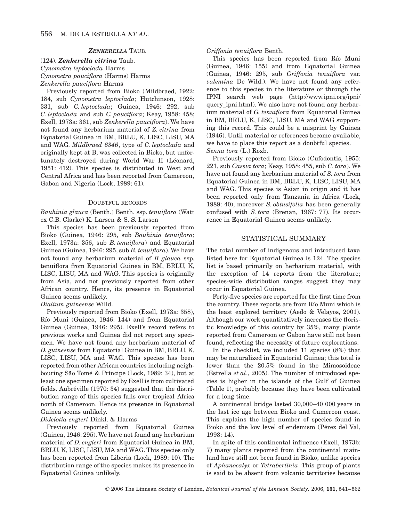## *ZENKERELLA* TAUB.

(124). *Zenkerella citrina* Taub. *Cynometra leptoclada* Harms *Cynometra pauciflora* (Harms) Harms *Zenkerella pauciflora* Harms

Previously reported from Bioko (Mildbraed, 1922: 184, sub *Cynometra leptoclada*; Hutchinson, 1928: 331, sub *C. leptoclada*; Guinea, 1946: 292, sub *C. leptoclada* and sub *C. pauciflora*; Keay, 1958: 458; Exell, 1973a: 361, sub *Zenkerella pauciflora*). We have not found any herbarium material of *Z. citrina* from Equatorial Guinea in BM, BRLU, K, LISC, LISU, MA and WAG. *Mildbraed 6346*, type of *C. leptoclada* and originally kept at B, was collected in Bioko, but unfortunately destroyed during World War II (Léonard, 1951: 412). This species is distributed in West and Central Africa and has been reported from Cameroon, Gabon and Nigeria (Lock, 1989: 61).

## DOUBTFUL RECORDS

*Bauhinia glauca* (Benth.) Benth. ssp. *tenuiflora* (Watt ex C.B. Clarke) K. Larsen & S. S. Larsen

This species has been previously reported from Bioko (Guinea, 1946: 295, sub *Bauhinia tenuiflora*; Exell, 1973a: 356, sub *B. tenuiflora*) and Equatorial Guinea (Guinea, 1946: 295, sub *B. tenuiflora*). We have not found any herbarium material of *B. glauca* ssp. tenuiflora from Equatorial Guinea in BM, BRLU, K, LISC, LISU, MA and WAG. This species is originally from Asia, and not previously reported from other African country. Hence, its presence in Equatorial Guinea seems unlikely.

## *Dialium guineense* Willd.

Previously reported from Bioko (Exell, 1973a: 358), Río Muni (Guinea, 1946: 144) and from Equatorial Guinea (Guinea, 1946: 295). Exell's record refers to previous works and Guinea did not report any specimen. We have not found any herbarium material of *D. guineense* from Equatorial Guinea in BM, BRLU, K, LISC, LISU, MA and WAG. This species has been reported from other African countries including neighbouring São Tomé & Príncipe (Lock, 1989: 34), but at least one specimen reported by Exell is from cultivated fields. Aubréville (1970: 34) suggested that the distribution range of this species falls over tropical Africa north of Cameroon. Hence its presence in Equatorial Guinea seems unlikely.

### *Didelotia engleri* Dinkl. & Harms

Previously reported from Equatorial Guinea (Guinea, 1946: 295). We have not found any herbarium material of *D. engleri* from Equatorial Guinea in BM, BRLU, K, LISC, LISU, MA and WAG. This species only has been reported from Liberia (Lock, 1989: 10). The distribution range of the species makes its presence in Equatorial Guinea unlikely.

*Griffonia tenuiflora* Benth.

This species has been reported from Río Muni (Guinea, 1946: 155) and from Equatorial Guinea (Guinea, 1946: 295, sub *Griffonia tenuiflora* var. *valentina* De Wild.). We have not found any reference to this species in the literature or through the IPNI search web page (<http://www.ipni.org/ipni/> query\_ipni.html). We also have not found any herbarium material of *G. tenuiflora* from Equatorial Guinea in BM, BRLU, K, LISC, LISU, MA and WAG supporting this record. This could be a misprint by Guinea (1946). Until material or references become available, we have to place this report as a doubtful species. *Senna tora* (L.) Roxb.

Previously reported from Bioko (Cufodontis, 1955: 221, sub *Cassia tora*; Keay, 1958: 455, sub *C. tora*). We have not found any herbarium material of *S. tora* from Equatorial Guinea in BM, BRLU, K, LISC, LISU, MA and WAG. This species is Asian in origin and it has been reported only from Tanzania in Africa (Lock, 1989: 40), moreover *S. obtusifolia* has been generally confused with *S. tora* (Brenan, 1967: 77). Its occurrence in Equatorial Guinea seems unlikely.

## STATISTICAL SUMMARY

The total number of indigenous and introduced taxa listed here for Equatorial Guinea is 124. The species list is based primarily on herbarium material, with the exception of 14 reports from the literature; species-wide distribution ranges suggest they may occur in Equatorial Guinea.

Forty-five species are reported for the first time from the country. These reports are from Río Muni which is the least explored territory (Aedo & Velayos, 2001). Although our work quantitatively increases the floristic knowledge of this country by 35%, many plants reported from Cameroon or Gabon have still not been found, reflecting the necessity of future explorations.

In the checklist, we included 11 species (8%) that may be naturalized in Equatorial Guinea; this total is lower than the 20.5% found in the Mimosoideae (Estrella *et al*., 2005). The number of introduced species is higher in the islands of the Gulf of Guinea (Table 1), probably because they have been cultivated for a long time.

A continental bridge lasted 30,000–40 000 years in the last ice age between Bioko and Cameroon coast. This explains the high number of species found in Bioko and the low level of endemism (Pérez del Val, 1993: 14).

In spite of this continental influence (Exell, 1973b: 7) many plants reported from the continental mainland have still not been found in Bioko, unlike species of *Aphanocalyx* or *Tetraberlinia*. This group of plants is said to be absent from volcanic territories because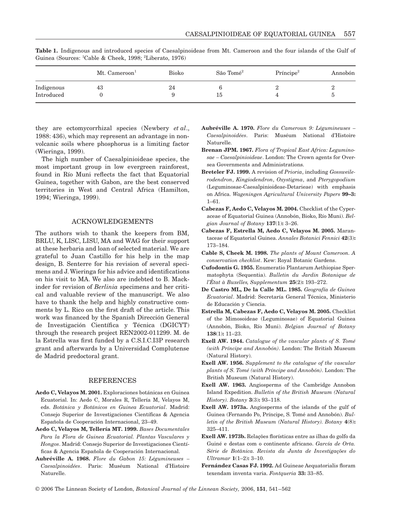|            | Mt. $Cameroon1$ | Bioko | São Tomé <sup>2</sup> | Príncipe <sup>2</sup> | Annobón |
|------------|-----------------|-------|-----------------------|-----------------------|---------|
| Indigenous | 43              | 24    |                       |                       |         |
| Introduced |                 |       | - 51                  |                       |         |

**Table 1.** Indigenous and introduced species of Caesalpinoideae from Mt. Cameroon and the four islands of the Gulf of Guinea (Sources: <sup>1</sup>Cable & Cheek, 1998; <sup>2</sup>Liberato, 1976)

they are ectomycorrhizal species (Newbery *et al*., 1988: 436), which may represent an advantage in nonvolcanic soils where phosphorus is a limiting factor (Wieringa, 1999).

The high number of Caesalpinioideae species, the most important group in low evergreen rainforest, found in Río Muni reflects the fact that Equatorial Guinea, together with Gabon, are the best conserved territories in West and Central Africa (Hamilton, 1994; Wieringa, 1999).

#### ACKNOWLEDGEMENTS

The authors wish to thank the keepers from BM, BRLU, K, LISC, LISU, MA and WAG for their support at these herbaria and loan of selected material. We are grateful to Juan Castillo for his help in the map design, B. Senterre for his revision of several specimens and J. Wieringa for his advice and identifications on his visit to MA. We also are indebted to B. Mackinder for revision of *Berlinia* specimens and her critical and valuable review of the manuscript. We also have to thank the help and highly constructive comments by L. Rico on the first draft of the article. This work was financed by the Spanish Dirección General de Investigación Científica y Técnica (DGICYT) through the research project REN2002-011299. M. de la Estrella was first funded by a C.S.I.C.I3P research grant and afterwards by a Universidad Complutense de Madrid predoctoral grant.

## **REFERENCES**

- **Aedo C, Velayos M. 2001.** Exploraciones botánicas en Guinea Ecuatorial. In: Aedo C, Morales R, Tellería M, Velayos M, eds. *Botánica y Botánicos en Guinea Ecuatorial*. Madrid: Consejo Superior de Investigaciones Científicas & Agencia Española de Cooperación Internacional, 23–49.
- **Aedo C, Velayos M, Tellería MT. 1999.** *Bases Documentales Para la Flora de Guinea Ecuatorial. Plantas Vasculares y Hongos*. Madrid: Consejo Superior de Investigaciones Científicas & Agencia Española de Cooperación Internacional.
- **Aubréville A. 1968.** *Flore du Gabon 15: Légumineuses – Caesalpinoidées*. Paris: Muséum National d'Histoire Naturelle.
- **Aubréville A. 1970.** *Flore du Cameroun 9: Légumineuses – Caesalpinoidées*. Paris: Muséum National d'Histoire Naturelle.
- **Brenan JPM. 1967.** *Flora of Tropical East Africa: Leguminosae – Caesalpinioideae*. London: The Crown agents for Oversea Governments and Administrations.
- **Breteler FJ. 1999.** A revision of *Prioria*, including *Gossweilerodendron*, *Kingiodendron*, *Oxystigma*, and *Pterygopodium* (Leguminosae-Caesalpinioideae-Detarieae) with emphasis on Africa. *Wageningen Agricultural University Papers* **99–3:** 1–61.
- **Cabezas F, Aedo C, Velayos M. 2004.** Checklist of the Cyperaceae of Equatorial Guinea (Annobón, Bioko, Río Muni). *Belgian Journal of Botany* **137**(1)**:** 3–26.
- **Cabezas F, Estrella M, Aedo C, Velayos M. 2005.** Marantaceae of Equatorial Guinea. *Annales Botanici Fennici* **42**(3)**:** 173–184.
- **Cable S, Cheek M. 1998.** *The plants of Mount Cameroon. A conservation checklist*. Kew: Royal Botanic Gardens.
- **Cufodontis G. 1955.** Enumeratio Plantarum Aethiopiae Spermatophyta (Sequentia). *Bulletin du Jardin Botanique de l'État à Buxelles, Supplementum* **25**(2)**:** 193–272.
- **De Castro ML, De la Calle ML. 1985.** *Geografía de Guinea Ecuatorial*. Madrid: Secretaría General Técnica, Ministerio de Educación y Ciencia.
- **Estrella M, Cabezas F, Aedo C, Velayos M. 2005.** Checklist of the Mimosoideae (Leguminosae) of Equatorial Guinea (Annobón, Bioko, Río Muni). *Belgian Journal of Botany* **138**(1)**:** 11–23.
- **Exell AW. 1944.** *Catalogue of the vascular plants of S. Tomé (with Príncipe and Annobón)*. London: The British Museum (Natural History).
- **Exell AW. 1956.** *Supplement to the catalogue of the vascular plants of S. Tomé (with Príncipe and Annobón)*. London: The British Museum (Natural History).
- **Exell AW. 1963.** Angiosperms of the Cambridge Annobon Island Expedition. *Bulletin of the British Museum (Natural History). Botany* **3**(3)**:** 93–118.
- **Exell AW. 1973a.** Angiosperms of the islands of the gulf of Guinea (Fernando Po, Príncipe, S. Tomé and Annobón). *Bulletin of the British Museum (Natural History). Botany* **4**(8)**:** 325–411.
- **Exell AW. 1973b.** Relações florísticas entre as ilhas do golfo da Guiné e destas com o continente africano. *García de Orta. Série de Botânica. Revista da Junta de Investigações do Ultramar* **1**(1–2)**:** 3–10.
- **Fernández Casas FJ. 1992.** Ad Guineae Aequatorialis floram texendam inventa varia. *Fontqueria* **33:** 33–85.

© 2006 The Linnean Society of London, *Botanical Journal of the Linnean Society,* 2006, **151**, 541–562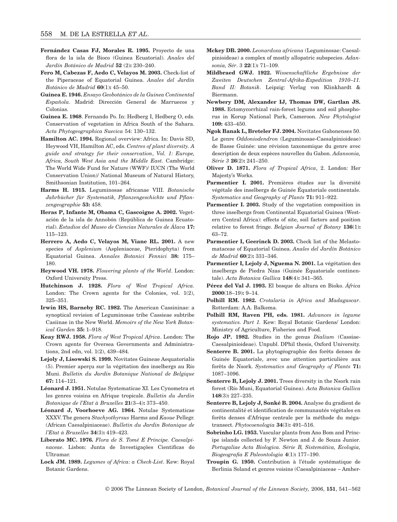- **Fernández Casas FJ, Morales R. 1995.** Proyecto de una flora de la isla de Bioco (Guinea Ecuatorial). *Anales del Jardín Botánico de Madrid* **52** (2)**:** 230–240.
- **Fero M, Cabezas F, Aedo C, Velayos M. 2003.** Check-list of the Piperaceae of Equatorial Guinea. *Anales del Jardín Botánico de Madrid* **60**(1)**:** 45–50.
- **Guinea E. 1946.** *Ensayo Geobotánico de la Guinea Continental Española*. Madrid: Dirección General de Marruecos y Colonias.
- **Guinea E. 1968**. Fernando Po. In: Hedberg I, Hedberg O, eds. Conservation of vegetation in Africa South of the Sahara. *Acta Phytogeographica Suecica* 54: 130–132.
- **Hamilton AC. 1994.** Regional overview: Africa. In: Davis SD, Heywood VH, Hamilton AC, eds. *Centres of plant diversity. A guide and strategy for their conservation*, *Vol. 1: Europe, Africa, South West Asia and the Middle East.* Cambridge: The World Wide Fund for Nature (WWF)/ IUCN (The World Conservation Union)/ National Museum of Natural History, Smithsonian Institution, 101–264.
- **Harms H. 1915.** Leguminosae africanae VIII. *Botanische Jahrbücher für Systematik, Pflanzengeschichte und Pflanzengeographie* **53:** 458.
- **Heras P, Infante M, Obama C, Gascoigne A. 2002.** Vegetación de la isla de Annobón (República de Guinea Ecuatorial). *Estudios del Museo de Ciencias Naturales de Álava* **17:** 115–123.
- **Herrero A, Aedo C, Velayos M, Viane RL. 2001.** A new species of *Asplenium* (Aspleniaceae, Pteridophyta) from Equatorial Guinea. *Annales Botanici Fennici* **38:** 175– 180.
- **Heywood VH. 1978.** *Flowering plants of the World*. London: Oxford University Press.
- **Hutchinson J. 1928.** *Flora of West Tropical Africa.* London: The Crown agents for the Colonies, vol. 1(2), 325–351.
- **Irwin HS, Barneby RC. 1982.** The American Cassininae: a synoptical revision of Leguminosae tribe Cassieae subtribe Casiinae in the New World. *Memoirs of the New York Botanical Garden* **35:** 1–918.
- **Keay RWJ. 1958.** *Flora of West Tropical Africa*. London: The Crown agents for Oversea Governments and Administrations, 2nd edn, vol. 1(2), 439–484.
- **Lejoly J, Lisowski S. 1999.** Novitates Guineae Aequatorialis (5). Premier aperçu sur la végétation des inselbergs au Río Muni. *Bulletin du Jardin Botanique National de Belgique* **67:** 114–121.
- **Léonard J. 1951.** Notulae Systematicae XI. Les Cynometra et les genres voisins en Afrique tropicale. *Bulletin du Jardin Botanique de l'Etat à Bruxelles* **21**(3–4)**:** 373–450.
- **Léonard J, Voorhoeve AG. 1964.** Notulae Systematicae XXXV. The genera *Stachyothyrsus* Harms and *Kaoue* Pellegr. (African Caesalpiniaceae). *Bulletin du Jardin Botanique de l'Etat à Bruxelles* **34**(3)**:** 419–423.
- **Liberato MC. 1976.** *Flora de S. Tomé E Príncipe. Caesalpinaceae*. Lisbon: Junta de Investigações Cientificas do Ultramar.
- **Lock JM. 1989.** *Legumes of Africa: a Check-List*. Kew: Royal Botanic Gardens.
- **Mckey DB. 2000.** *Leonardoxa africana* (Leguminosae: Caesalpinioideae) a complex of mostly allopatric subspecies. *Adansonia, Sér*. 3 **22**(1)**:** 71–109.
- **Mildbraed GWJ. 1922.** *Wissenschaftliche Ergebnisse der Zweiten Deutschen Zentral-Afrika-Expedition 1910–11. Band II: Botanik*. Leipzig: Verlag von Klinkhardt & Biermann.
- **Newbery DM, Alexander IJ, Thomas DW, Gartlan JS. 1988.** Ectomycorrhizal rain-forest legums and soil phosphorus in Korup National Park, Cameroon. *New Phytologist* **109:** 433–450.
- **Ngok Banak L, Breteler FJ. 2004.** Novitates Gabonenses 50. Le genre *Oddoniodendron* (Leguminosae-Caesalpinioideae) de Basse Guinée: une révision taxonomique du genre avec description de deux espèces nouvelles du Gabon. *Adansonia, Série 3* **26**(2)**:** 241–250.
- **Oliver D. 1871.** *Flora of Tropical Africa*, 2. London: Her Majesty's Works.
- Parmentier I. 2001. Premières études sur la diversité végétale des inselbergs de Guinée Équatoriale continentale. *Systematics and Geography of Plants* **71:** 911–922.
- **Parmentier I. 2003.** Study of the vegetation composition in three inselbergs from Continental Equatorial Guinea (Western Central Africa): effects of site, soil factors and position relative to forest fringe. *Belgian Journal of Botany* **136**(1)**:** 63–72.
- Parmentier I, Geerinck D. 2003. Check list of the Melastomataceae of Equatorial Guinea. *Anales del Jardín Botánico de Madrid* **60**(2)**:** 331–346.
- Parmentier I, Lejoly J, Nguema N. 2001. La végétation des inselbergs de Piedra Nzas (Guinée Équatoriale continentale). *Acta Botanica Gallica* **148**(4)**:** 341–365.
- **Pérez del Val J. 1993.** El bosque de altura en Bioko. *África* **2000**(18–19)**:** 9–14.
- **Polhill RM. 1982.** *Crotalaria in Africa and Madagascar*. Rotterdam: A.A. Balkema.
- **Polhill RM, Raven PH, eds. 1981.** *Advances in legume systematics. Part 1.* Kew: Royal Botanic Gardens/ London: Ministry of Agriculture, Fisheries and Food.
- **Rojo JP. 1982.** Studies in the genus *Dialium* (Cassiae-Caesalpinioideae). Unpubl. DPhil thesis, Oxford University.
- **Senterre B. 2001.** La phytogéographie des forêts denses de Guinée Equatoriale, avec une attention particulière aux forêts de Nsork. *Systematics and Geography of Plants* **71:** 1087–1096.
- **Senterre B, Lejoly J. 2001.** Trees diversity in the Nsork rain forest (Río Muni, Equatorial Guinea). *Acta Botanica Gallica* **148**(3)**:** 227–235.
- **Senterre B, Lejoly J, Sonké B. 2004.** Analyse du gradient de continentalité et identification de communautés végétales en forêts denses d'Afrique centrale per la méthode du mégatransect. *Phytocoenologia* **34**(3)**:** 491–516.
- **Sobrinho LG. 1953.** Vascular plants from Ano Bom and Príncipe islands collected by F. Newton and J. de Souza Junior. *Portugaliae Acta Biologica. Série B, Sistemática, Ecologia, Biogeografia E Paleontologia* **4**(1)**:** 177–190.
- **Troupin G. 1950.** Contribution à l'étude systématique de Berlinia Soland et genres voisins (Caesalpiniaceae – Amher-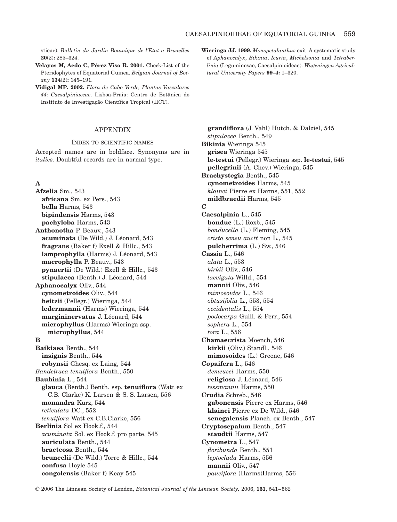stieae). *Bulletin du Jardin Botanique de l'Etat a Bruxelles* **20**(2)**:** 285–324.

**Velayos M, Aedo C, Pérez Viso R. 2001.** Check-List of the Pteridophytes of Equatorial Guinea. *Belgian Journal of Botany* **134**(2)**:** 145–191.

**Vidigal MP. 2002.** *Flora de Cabo Verde, Plantas Vasculares 44: Caesalpiniaceae*. Lisboa-Praia: Centro de Botânica do Instituto de Investigação Científica Tropical (IICT).

## APPENDIX

#### INDEX TO SCIENTIFIC NAMES

Accepted names are in boldface. Synonyms are in *italics*. Doubtful records are in normal type.

## **A**

**Afzelia** Sm., 543 **africana** Sm. ex Pers., 543 **bella** Harms, 543 **bipindensis** Harms, 543 **pachyloba** Harms, 543 **Anthonotha** P. Beauv., 543 **acuminata** (De Wild.) J. Léonard, 543 **fragrans** (Baker f) Exell & Hillc., 543 **lamprophylla** (Harms) J. Léonard, 543 **macrophylla** P. Beauv., 543 **pynaertii** (De Wild.) Exell & Hillc., 543 **stipulacea** (Benth.) J. Léonard, 544 **Aphanocalyx** Oliv., 544 **cynometroides** Oliv., 544 **heitzii** (Pellegr.) Wieringa, 544 **ledermannii** (Harms) Wieringa, 544 **margininervatus** J. Léonard, 544 **microphyllus** (Harms) Wieringa ssp. **microphyllus**, 544 **B Baikiaea** Benth., 544 **insignis** Benth., 544 **robynsii** Ghesq. ex Laing, 544 *Bandeiraea tenuiflora* Benth., 550 **Bauhinia** L., 544 **glauca** (Benth.) Benth. ssp. **tenuiflora** (Watt ex C.B. Clarke) K. Larsen & S. S. Larsen, 556 **monandra** Kurz, 544 *reticulata* DC., 552 *tenuiflora* Watt ex C.B.Clarke, 556 **Berlinia** Sol ex Hook.f., 544 *acuminata* Sol. ex Hook.f. pro parte, 545 **auriculata** Benth., 544 **bracteosa** Benth., 544 **bruneelii** (De Wild.) Torre & Hillc., 544 **confusa** Hoyle 545 **congolensis** (Baker f) Keay 545

**Wieringa JJ. 1999.** *Monopetalanthus* exit. A systematic study of *Aphanocalyx*, *Bikinia*, *Icuria*, *Michelsonia* and *Tetraberlinia* (Leguminosae, Caesalpinioideae). *Wageningen Agricultural University Papers* **99–4:** 1–320.

**grandiflora** (J. Vahl) Hutch. & Dalziel, 545 *stipulacea* Benth., 549 **Bikinia** Wieringa 545 **grisea** Wieringa 545 **le-testui** (Pellegr.) Wieringa ssp. **le-testui**, 545 **pellegrinii** (A. Chev.) Wieringa, 545 **Brachystegia** Benth., 545 **cynometroides** Harms, 545 *klainei* Pierre ex Harms, 551, 552 **mildbraedii** Harms, 545 **C Caesalpinia** L., 545 **bonduc** (L.) Roxb., 545 *bonducella* (L.) Fleming, 545 *crista sensu auctt* non L., 545 **pulcherrima** (L.) Sw., 546 **Cassia** L., 546 *alata* L., 553 *kirkii* Oliv., 546 *laevigata* Willd., 554 **mannii** Oliv., 546 *mimosoides* L., 546 *obtusifolia* L., 553, 554 *occidentalis* L., 554 *podocarpa* Guill. & Perr., 554 *sophera* L., 554 *tora* L., 556 **Chamaecrista** Moench, 546 **kirkii** (Oliv.) Standl., 546 **mimosoides** (L.) Greene, 546 **Copaifera** L., 546 *demeusei* Harms, 550 **religiosa** J. Léonard, 546 *tessmannii* Harms, 550 **Crudia** Schreb., 546 **gabonensis** Pierre ex Harms, 546 **klainei** Pierre ex De Wild., 546 **senegalensis** Planch. ex Benth., 547 **Cryptosepalum** Benth., 547 **staudtii** Harms, 547 **Cynometra** L., 547 *floribunda* Benth., 551 *leptoclada* Harms, 556 **mannii** Oliv., 547 *pauciflora* (Harms)Harms, 556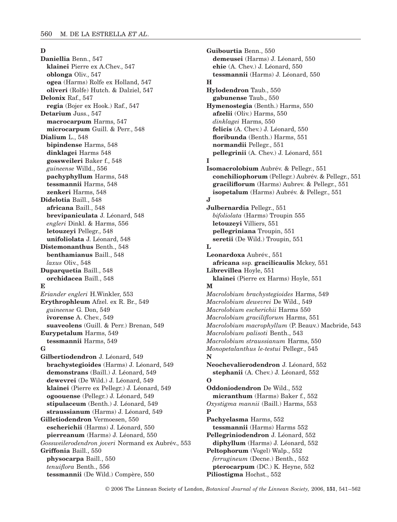## **D**

**Daniellia** Benn., 547 **klainei** Pierre ex A.Chev., 547 **oblonga** Oliv., 547 **ogea** (Harms) Rolfe ex Holland, 547 **oliveri** (Rolfe) Hutch. & Dalziel, 547 **Delonix** Raf., 547 **regia** (Bojer ex Hook.) Raf., 547 **Detarium** Juss., 547 **macrocarpum** Harms, 547 **microcarpum** Guill. & Perr., 548 **Dialium** L., 548 **bipindense** Harms, 548 **dinklagei** Harms 548 **gossweileri** Baker f., 548 *guineense* Willd., 556 **pachyphyllum** Harms, 548 **tessmannii** Harms, 548 **zenkeri** Harms, 548 **Didelotia** Baill., 548 **africana** Baill., 548 **brevipaniculata** J. Léonard, 548 *engleri* Dinkl. & Harms, 556 **letouzeyi** Pellegr., 548 **unifoliolata** J. Léonard, 548 **Distemonanthus** Benth., 548 **benthamianus** Baill., 548 *laxus* Oliv., 548 **Duparquetia** Baill., 548 **orchidacea** Baill., 548 **E** *Eriander engleri* H.Winkler, 553 **Erythrophleum** Afzel. ex R. Br., 549 *guineense* G. Don, 549 **ivorense** A. Chev., 549 **suaveolens** (Guill. & Perr.) Brenan, 549 **Eurypetalum** Harms, 549 **tessmannii** Harms, 549 **G Gilbertiodendron** J. Léonard, 549 **brachystegioides** (Harms) J. Léonard, 549 **demonstrans** (Baill.) J. Léonard, 549 **dewevrei** (De Wild.) J. Léonard, 549 **klainei** (Pierre ex Pellegr.) J. Léonard, 549 **ogoouense** (Pellegr.) J. Léonard, 549 **stipulaceum** (Benth.) J. Léonard, 549 **straussianum** (Harms) J. Léonard, 549 **Gilletiodendron** Vermoesen, 550 **escherichii** (Harms) J. Léonard, 550 **pierreanum** (Harms) J. Léonard, 550 *Gossweilerodendron joveri* Normand ex Aubrév., 553 **Griffonia** Baill., 550 **physocarpa** Baill., 550 *tenuiflora* Benth., 556 **tessmannii** (De Wild.) Compère, 550

**Guibourtia** Benn., 550 **demeusei** (Harms) J. Léonard, 550 **ehie** (A. Chev.) J. Léonard, 550 **tessmannii** (Harms) J. Léonard, 550 **H Hylodendron** Taub., 550 **gabunense** Taub., 550 **Hymenostegia** (Benth.) Harms, 550 **afzelii** (Oliv.) Harms, 550 *dinklagei* Harms, 550 **felicis** (A. Chev.) J. Léonard, 550 **floribunda** (Benth.) Harms, 551 **normandii** Pellegr., 551 **pellegrinii** (A. Chev.) J. Léonard, 551 **I Isomacrolobium** Aubrév. & Pellegr., 551 **conchiliophorum** (Pellegr.) Aubrév. & Pellegr., 551 **graciliflorum** (Harms) Aubrev. & Pellegr., 551 **isopetalum** (Harms) Aubrév. & Pellegr., 551 **J Julbernardia** Pellegr., 551 *bifoliolata* (Harms) Troupin 555 **letouzeyi** Villiers, 551 **pellegriniana** Troupin, 551 **seretii** (De Wild.) Troupin, 551 **L Leonardoxa** Aubrév., 551 **africana** ssp. **gracilicaulis** Mckey, 551 **Librevillea** Hoyle, 551 **klainei** (Pierre ex Harms) Hoyle, 551 **M** *Macrolobium brachystegioides* Harms, 549 *Macrolobium dewevrei* De Wild., 549 *Macrolobium escherichii* Harms 550 *Macrolobium graciliflorum* Harms, 551 *Macrolobium macrophyllum* (P. Beauv.) Macbride, 543 *Macrolobium palisoti* Benth., 543 *Macrolobium straussianum* Harms, 550 *Monopetalanthus le-testui* Pellegr., 545 **N Neochevalierodendron** J. Léonard, 552 **stephanii** (A. Chev.) J. Léonard, 552 **O Oddoniodendron** De Wild., 552 **micranthum** (Harms) Baker f., 552 *Oxystigma mannii* (Baill.) Harms, 553 **P Pachyelasma** Harms, 552 **tessmannii** (Harms) Harms 552 **Pellegriniodendron** J. Léonard, 552 **diphyllum** (Harms) J. Léonard, 552 **Peltophorum** (Vogel) Walp., 552 *ferrugineum* (Decne.) Benth., 552 **pterocarpum** (DC.) K. Heyne, 552 **Piliostigma** Hochst., 552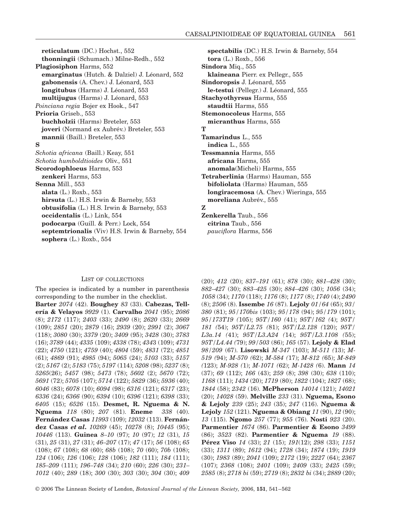**reticulatum** (DC.) Hochst., 552 **thonningii** (Schumach.) Milne-Redh., 552 **Plagiosiphon** Harms, 552 **emarginatus** (Hutch. & Dalziel) J. Léonard, 552 **gabonensis** (A. Chev.) J. Léonard, 553 **longitubus** (Harms) J. Léonard, 553 **multijugus** (Harms) J. Léonard, 553 *Poinciana regia* Bojer ex Hook., 547 **Prioria** Griseb., 553 **buchholzii** (Harms) Breteler, 553 **joveri** (Normand ex Aubrév.) Breteler, 553 **mannii** (Baill.) Breteler, 553 **S** *Schotia africana* (Baill.) Keay, 551 *Schotia humboldtioides* Oliv., 551 **Scorodophloeus** Harms, 553 **zenkeri** Harms, 553 **Senna** Mill., 553 **alata** (L.) Roxb., 553 **hirsuta** (L.) H.S. Irwin & Barneby, 553 **obtusifolia** (L.) H.S. Irwin & Barneby, 553 **occidentalis** (L.) Link, 554 **podocarpa** (Guill. & Perr.) Lock, 554 **septemtrionalis** (Viv) H.S. Irwin & Barneby, 554 **sophera** (L.) Roxb., 554

**spectabilis** (DC.) H.S. Irwin & Barneby, 554 **tora** (L.) Roxb., 556 **Sindora** Miq., 555 **klaineana** Pierr. ex Pellegr., 555 **Sindoropsis** J. Léonard, 555 **le-testui** (Pellegr.) J. Léonard, 555 **Stachyothyrsus** Harms, 555 **staudtii** Harms, 555 **Stemonocoleus** Harms, 555 **micranthus** Harms, 555 **T Tamarindus** L., 555 **indica** L., 555 **Tessmannia** Harms, 555 **africana** Harms, 555 **anomala**(Micheli) Harms, 555 **Tetraberlinia** (Harms) Hauman, 555 **bifoliolata** (Harms) Hauman, 555 **longiracemosa** (A. Chev.) Wieringa, 555 **moreliana** Aubrév., 555 **Z Zenkerella** Taub., 556

**citrina** Taub., 556 *pauciflora* Harms, 556

#### LIST OF COLLECTIONS

The species is indicated by a number in parenthesis corresponding to the number in the checklist. **Barter** *2074* (42). **Boughey** *83* (33). **Cabezas, Tellería & Velayos** *9929* (1). **Carvalho** *2041* (95); *2086* (8); *2172* (117); *2403* (33); *2490* (8); *2620* (33); *2669* (109); *2851* (20); *2879* (16); *2939* (20); *2991* (2); *3067* (118); *3080* (30); *3379* (20); *3409* (95); *3428* (30); *3783* (16); *3789* (44); *4335* (109); *4338* (78); *434*3 (109); *4731* (22); *4750* (121); *4759* (40); *4804* (59); *4831* (72); *4851* (61); *4869* (91); *4985* (94); *5065* (24); *5103* (33); *5157* (2); *5167* (2); *5183* (75); *5197* (114); *5208* (98); *5237* (8); *5265*(26); *5457* (98); *5473* (78); *5602* (2); *5670* (72); *5691* (72); *5705* (107); *5714* (122); *5829* (36); *5936* (40); *6046* (83); *6078* (10); *6094* (98); *6316* (121); *6317* (23); *6336* (24); *6366* (90); *6394* (10); *6396* (121); *6398* (33); *6405* (15); *6526* (15). **Desmet, R. Nguema & N. Nguema** *118* (80); *207* (81). **Eneme** *338* (40). **Fernández Casas** *11993* (109); *12032* (113). **Fernández Casas** *et al***.** *10269* (45); *10278* (8); *10445* (95); *10446* (113). **Guinea** *8–10* (97); *10* (97); *12* (31), *15* (31), *25* (31), *27* (31); *46–207* (17); *47* (17); *56* (108); *65* (108); *67* (108); *68* (60); *68b* (108); *70* (60); *70b* (108); *124* (106); *126* (106); *128* (106); *182* (111); *184* (111); *185–209* (111); *196–748* (34); *210* (60); *226* (30); *231– 1012* (40); *289* (18); *300* (30); *303* (30); *304* (30); *409* (20); *412* (20); *837–191* (61); *878* (30); *881–428* (30); *882–427* (30); *883–425* (30); *884–426* (30); *1056* (34); *1058* (34); *1170* (118); *1176* (8); *1177* (8); *1740* (4); *2490* (8); *2506* (8). **Issembe** *16* (87). **Lejoly** *01/64* (65); *93/ 380* (81); *95/170bis* (103); *95/178* (94); *95/179* (101); *95/173T19 (*105); *95T/160 (*41); *95T/162 (*4); *95T/ 181 (*54); *95T/L2.75 (*81); *95T/L2.128 (*120); *95T/ L3a.14 (*41); *95T/L3.A24 (*14); *95T/L3.1108 (*55); *95T/L4.44 (*79); *99/503* (86); *165* (57). **Lejoly & Elad** *98/209* (67). **Lisowski** *M-347* (103); *M-511 (*13); *M-519 (*94); *M-570 (*62); *M-584 (*17); *M-812 (*65); *M-849 (*123); *M-928 (*1); *M-1071 (*62); *M-1428 (*6). **Mann** *14* (37); *69* (112); *166* (43); *259* (8); *398* (30); *638* (110); *1168* (111); *1434* (20); *1719* (80); *1822* (104); *1827* (68); *1844* (58); *2342* (16). **McPherson** *14014* (121); *14021* (20); *14028* (59). **Melville** *233* (31). **Nguema, Esono & Lejoly** *239* (25); *243* (35); *247* (116). **Nguema & Lejoly** *152* (121). **Nguema & Obiang** *11* (90), *12* (90); *13* (115). **Ngomo** *257* (77); *955* (76). **Nosti** *923* (20). **Parmentier** *1674* (86). **Parmentier & Esono** *3499* (86); *3523* (82). **Parmentier & Nguema** *19* (88). **Pérez Viso** *14* (33); *21* (15); *191*(12); *298* (33); *1151* (33); *1311* (89); *1612* (94); *1728* (34); *1874* (19); *1919* (30); *1983* (89); *2041* (109); *2172* (19); *2227* (64); *2367* (107); *2368* (108); *2401* (109); *2409* (33); *2425* (59); *2585* (8); *2718 bi* (59); *2719* (8); *2832 bi* (34); *2889* (20);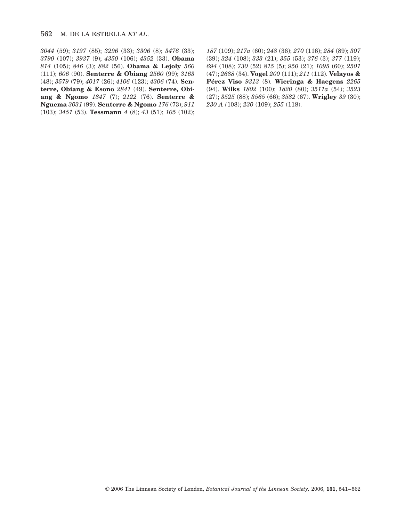*3044* (59); *3197* (85); *3296* (33); *3306* (8); *3476* (33); *3790* (107); *3937* (9); *4350* (106); *4352* (33). **Obama** *814* (105); *846* (3); *882* (56). **Obama & Lejoly** *560* (111); *606* (90). **Senterre & Obiang** *2560* (99); *3163* (48); *3579* (79); *4017* (26); *4106* (123); *4306* (74). **Senterre, Obiang & Esono** *2841* (49). **Senterre, Obiang & Ngomo** *1847* (7); *2122* (76). **Senterre & Nguema** *3031* (99). **Senterre & Ngomo** *176* (73); *911* (103); *3451* (53). **Tessmann** *4* (8); *43* (51); *105* (102);

*187* (109); *217a* (60); *248* (36); *270* (116); *284* (89); *307* (39); *324* (108); *333* (21); *355* (53); *376* (3); *377* (119); *694* (108); *730* (52) *815* (5); *950* (21); *1095* (60); *2501* (47); *2688* (34). **Vogel** *200* (111); *211* (112). **Velayos & Pérez Viso** *9313* (8). **Wieringa & Haegens** *2265* (94). **Wilks** *1802* (100); *1820* (80); *3511a* (54); *3523* (27); *3525* (88); *3565* (66); *3582* (67). **Wrigley** *39* (30); *230 A (*108); *230* (109); *255* (118).